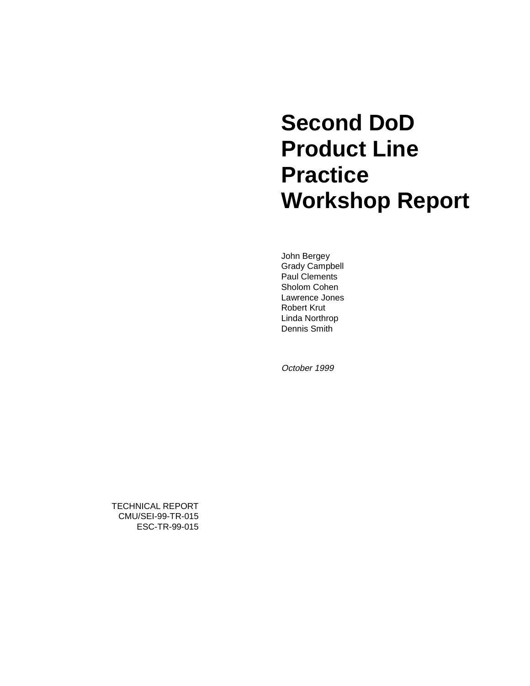# **Second DoD Product Line Practice Workshop Report**

John Bergey Grady Campbell Paul Clements Sholom Cohen Lawrence Jones Robert Krut Linda Northrop Dennis Smith

October 1999

TECHNICAL REPORT CMU/SEI-99-TR-015 ESC-TR-99-015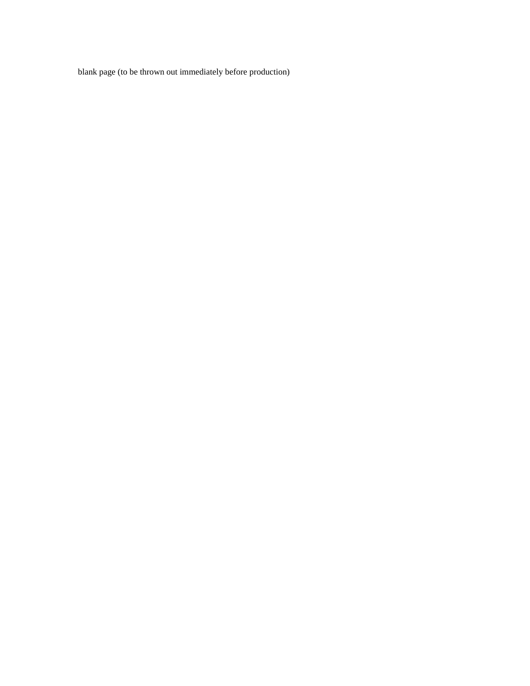blank page (to be thrown out immediately before production)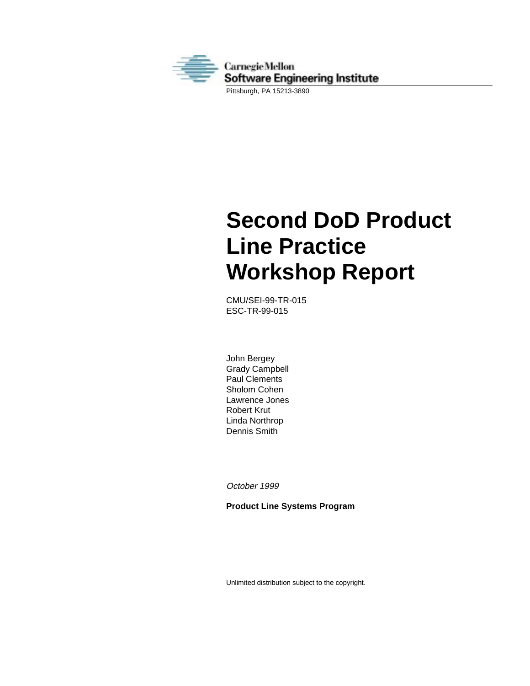

# **Second DoD Product Line Practice Workshop Report**

CMU/SEI-99-TR-015 ESC-TR-99-015

John Bergey Grady Campbell Paul Clements Sholom Cohen Lawrence Jones Robert Krut Linda Northrop Dennis Smith

October 1999

**Product Line Systems Program**

Unlimited distribution subject to the copyright.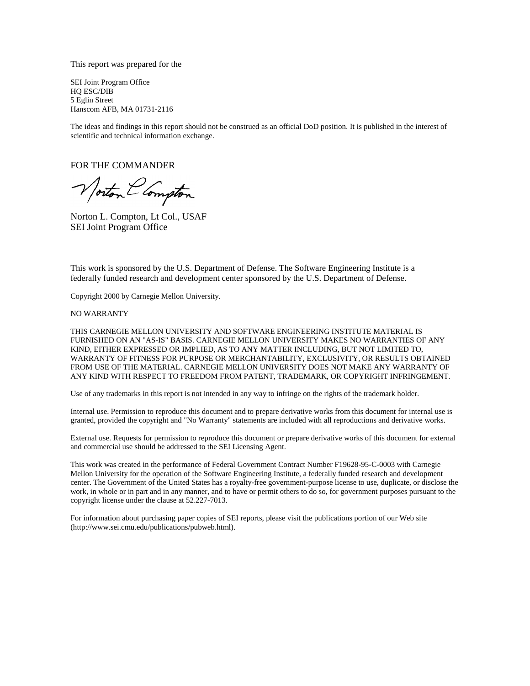This report was prepared for the

SEI Joint Program Office HQ ESC/DIB 5 Eglin Street Hanscom AFB, MA 01731-2116

The ideas and findings in this report should not be construed as an official DoD position. It is published in the interest of scientific and technical information exchange.

FOR THE COMMANDER

Norton Clompton

Norton L. Compton, Lt Col., USAF SEI Joint Program Office

This work is sponsored by the U.S. Department of Defense. The Software Engineering Institute is a federally funded research and development center sponsored by the U.S. Department of Defense.

Copyright 2000 by Carnegie Mellon University.

NO WARRANTY

THIS CARNEGIE MELLON UNIVERSITY AND SOFTWARE ENGINEERING INSTITUTE MATERIAL IS FURNISHED ON AN "AS-IS" BASIS. CARNEGIE MELLON UNIVERSITY MAKES NO WARRANTIES OF ANY KIND, EITHER EXPRESSED OR IMPLIED, AS TO ANY MATTER INCLUDING, BUT NOT LIMITED TO, WARRANTY OF FITNESS FOR PURPOSE OR MERCHANTABILITY, EXCLUSIVITY, OR RESULTS OBTAINED FROM USE OF THE MATERIAL. CARNEGIE MELLON UNIVERSITY DOES NOT MAKE ANY WARRANTY OF ANY KIND WITH RESPECT TO FREEDOM FROM PATENT, TRADEMARK, OR COPYRIGHT INFRINGEMENT.

Use of any trademarks in this report is not intended in any way to infringe on the rights of the trademark holder.

Internal use. Permission to reproduce this document and to prepare derivative works from this document for internal use is granted, provided the copyright and "No Warranty" statements are included with all reproductions and derivative works.

External use. Requests for permission to reproduce this document or prepare derivative works of this document for external and commercial use should be addressed to the SEI Licensing Agent.

This work was created in the performance of Federal Government Contract Number F19628-95-C-0003 with Carnegie Mellon University for the operation of the Software Engineering Institute, a federally funded research and development center. The Government of the United States has a royalty-free government-purpose license to use, duplicate, or disclose the work, in whole or in part and in any manner, and to have or permit others to do so, for government purposes pursuant to the copyright license under the clause at 52.227-7013.

For information about purchasing paper copies of SEI reports, please visit the publications portion of our Web site (http://www.sei.cmu.edu/publications/pubweb.html).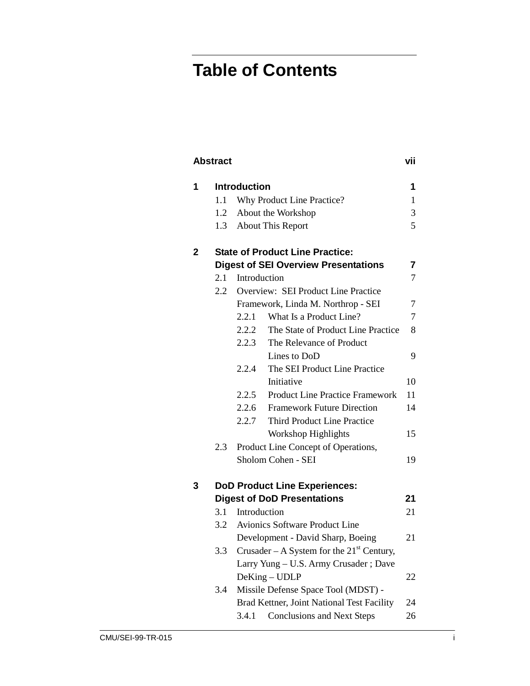## **Table of Contents**

| <b>Abstract</b> |                                             |                                    |                                             |    |  |  |  |
|-----------------|---------------------------------------------|------------------------------------|---------------------------------------------|----|--|--|--|
| 1               | <b>Introduction</b>                         |                                    |                                             |    |  |  |  |
|                 | 1.1                                         |                                    | Why Product Line Practice?                  | 1  |  |  |  |
|                 | 1.2                                         |                                    | About the Workshop                          | 3  |  |  |  |
|                 | 1.3                                         |                                    | <b>About This Report</b>                    | 5  |  |  |  |
| 2               | <b>State of Product Line Practice:</b>      |                                    |                                             |    |  |  |  |
|                 | <b>Digest of SEI Overview Presentations</b> |                                    |                                             |    |  |  |  |
|                 | 2.1                                         | Introduction                       |                                             |    |  |  |  |
|                 |                                             |                                    | 2.2 Overview: SEI Product Line Practice     |    |  |  |  |
|                 |                                             | Framework, Linda M. Northrop - SEI |                                             | 7  |  |  |  |
|                 |                                             | 2.2.1                              | What Is a Product Line?                     | 7  |  |  |  |
|                 |                                             | 2.2.2                              | The State of Product Line Practice          | 8  |  |  |  |
|                 |                                             | 2.2.3                              | The Relevance of Product                    |    |  |  |  |
|                 |                                             |                                    | Lines to DoD                                | 9  |  |  |  |
|                 |                                             | 2.2.4                              | The SEI Product Line Practice               |    |  |  |  |
|                 |                                             |                                    | Initiative                                  | 10 |  |  |  |
|                 |                                             | 2.2.5                              | <b>Product Line Practice Framework</b>      | 11 |  |  |  |
|                 |                                             | 2.2.6                              | <b>Framework Future Direction</b>           | 14 |  |  |  |
|                 |                                             | 2.2.7                              | <b>Third Product Line Practice</b>          |    |  |  |  |
|                 |                                             |                                    | Workshop Highlights                         | 15 |  |  |  |
|                 | 2.3                                         |                                    | Product Line Concept of Operations,         |    |  |  |  |
|                 |                                             | Sholom Cohen - SEI                 |                                             | 19 |  |  |  |
|                 |                                             |                                    |                                             |    |  |  |  |
| 3               |                                             |                                    | <b>DoD Product Line Experiences:</b>        |    |  |  |  |
|                 |                                             |                                    | <b>Digest of DoD Presentations</b>          | 21 |  |  |  |
|                 | 3.1                                         | Introduction                       |                                             | 21 |  |  |  |
|                 | 3.2                                         |                                    | Avionics Software Product Line              |    |  |  |  |
|                 |                                             |                                    | Development - David Sharp, Boeing           | 21 |  |  |  |
|                 | 3.3                                         |                                    | Crusader – A System for the $21st$ Century, |    |  |  |  |
|                 |                                             |                                    | Larry Yung - U.S. Army Crusader; Dave       |    |  |  |  |
|                 |                                             |                                    | DeKing - UDLP                               | 22 |  |  |  |
|                 | 3.4                                         |                                    | Missile Defense Space Tool (MDST) -         |    |  |  |  |
|                 |                                             |                                    | Brad Kettner, Joint National Test Facility  | 24 |  |  |  |
|                 |                                             | 3.4.1                              | <b>Conclusions and Next Steps</b>           | 26 |  |  |  |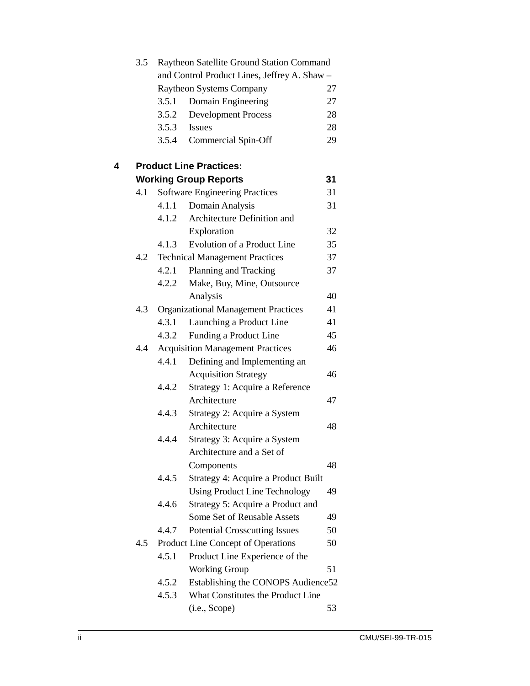|   | 3.5 | Raytheon Satellite Ground Station Command |                                              |    |  |  |
|---|-----|-------------------------------------------|----------------------------------------------|----|--|--|
|   |     |                                           | and Control Product Lines, Jeffrey A. Shaw - |    |  |  |
|   |     |                                           | Raytheon Systems Company                     | 27 |  |  |
|   |     | 3.5.1                                     | Domain Engineering                           | 27 |  |  |
|   |     | 3.5.2                                     | <b>Development Process</b>                   | 28 |  |  |
|   |     | 3.5.3                                     | <b>Issues</b>                                | 28 |  |  |
|   |     | 3.5.4                                     | Commercial Spin-Off                          | 29 |  |  |
| 4 |     |                                           | <b>Product Line Practices:</b>               |    |  |  |
|   |     |                                           | <b>Working Group Reports</b>                 | 31 |  |  |
|   | 4.1 |                                           | <b>Software Engineering Practices</b>        | 31 |  |  |
|   |     | 4.1.1                                     | Domain Analysis                              | 31 |  |  |
|   |     | 4.1.2                                     | Architecture Definition and                  |    |  |  |
|   |     |                                           | Exploration                                  | 32 |  |  |
|   |     | 4.1.3                                     | Evolution of a Product Line                  | 35 |  |  |
|   | 4.2 |                                           | <b>Technical Management Practices</b>        | 37 |  |  |
|   |     | 4.2.1                                     | Planning and Tracking                        | 37 |  |  |
|   |     | 4.2.2                                     | Make, Buy, Mine, Outsource                   |    |  |  |
|   |     |                                           | Analysis                                     | 40 |  |  |
|   | 4.3 |                                           | <b>Organizational Management Practices</b>   | 41 |  |  |
|   |     | 4.3.1                                     | Launching a Product Line                     | 41 |  |  |
|   |     | 4.3.2                                     | Funding a Product Line                       | 45 |  |  |
|   | 4.4 |                                           | <b>Acquisition Management Practices</b>      | 46 |  |  |
|   |     | 4.4.1                                     | Defining and Implementing an                 |    |  |  |
|   |     |                                           | <b>Acquisition Strategy</b>                  | 46 |  |  |
|   |     | 4.4.2                                     | Strategy 1: Acquire a Reference              |    |  |  |
|   |     |                                           | Architecture                                 | 47 |  |  |
|   |     | 4.4.3                                     | Strategy 2: Acquire a System                 |    |  |  |
|   |     |                                           | Architecture                                 | 48 |  |  |
|   |     | 4.4.4                                     | Strategy 3: Acquire a System                 |    |  |  |
|   |     |                                           | Architecture and a Set of                    |    |  |  |
|   |     |                                           | Components                                   | 48 |  |  |
|   |     | 4.4.5                                     | Strategy 4: Acquire a Product Built          |    |  |  |
|   |     |                                           | <b>Using Product Line Technology</b>         | 49 |  |  |
|   |     | 4.4.6                                     | Strategy 5: Acquire a Product and            |    |  |  |
|   |     |                                           | Some Set of Reusable Assets                  | 49 |  |  |
|   |     | 4.4.7                                     | <b>Potential Crosscutting Issues</b>         | 50 |  |  |
|   | 4.5 |                                           | Product Line Concept of Operations           | 50 |  |  |
|   |     | 4.5.1                                     | Product Line Experience of the               |    |  |  |
|   |     |                                           | <b>Working Group</b>                         | 51 |  |  |
|   |     | 4.5.2                                     | Establishing the CONOPS Audience52           |    |  |  |
|   |     | 4.5.3                                     | What Constitutes the Product Line            |    |  |  |
|   |     |                                           | (i.e., Scope)                                | 53 |  |  |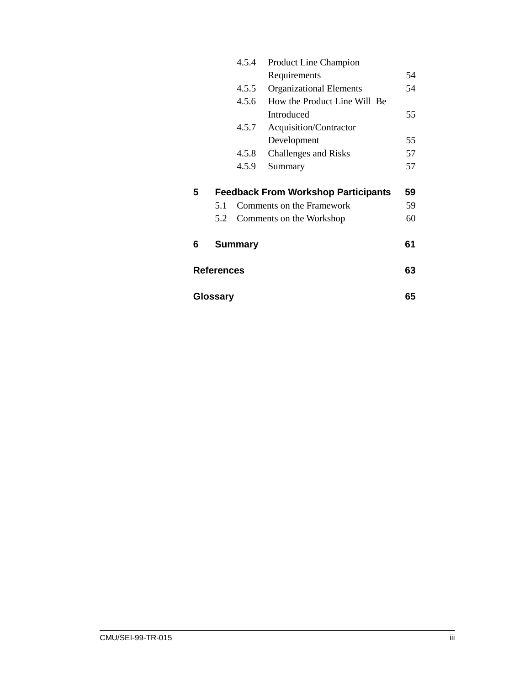|                   |                | 4.5.4 | Product Line Champion                      |    |
|-------------------|----------------|-------|--------------------------------------------|----|
|                   |                |       | Requirements                               | 54 |
|                   |                | 4.5.5 | <b>Organizational Elements</b>             | 54 |
|                   |                | 4.5.6 | How the Product Line Will Be               |    |
|                   |                |       | Introduced                                 | 55 |
|                   |                | 4.5.7 | Acquisition/Contractor                     |    |
|                   |                |       | Development                                | 55 |
|                   |                | 4.5.8 | <b>Challenges and Risks</b>                | 57 |
|                   |                | 4.5.9 | Summary                                    | 57 |
|                   |                |       |                                            |    |
| 5                 |                |       | <b>Feedback From Workshop Participants</b> | 59 |
|                   | 5.1            |       | Comments on the Framework                  | 59 |
|                   | 5.2            |       | Comments on the Workshop                   | 60 |
| 6                 | <b>Summary</b> |       |                                            |    |
| <b>References</b> |                |       | 63                                         |    |
| Glossary          |                |       |                                            |    |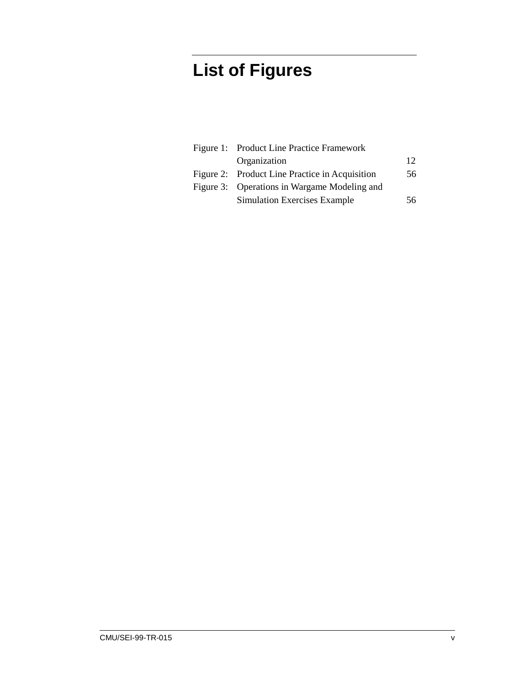## **List of Figures**

| Figure 1: Product Line Practice Framework      |     |  |  |
|------------------------------------------------|-----|--|--|
| Organization                                   | 12  |  |  |
| Figure 2: Product Line Practice in Acquisition | 56  |  |  |
| Figure 3: Operations in Wargame Modeling and   |     |  |  |
| Simulation Exercises Example                   | 56. |  |  |
|                                                |     |  |  |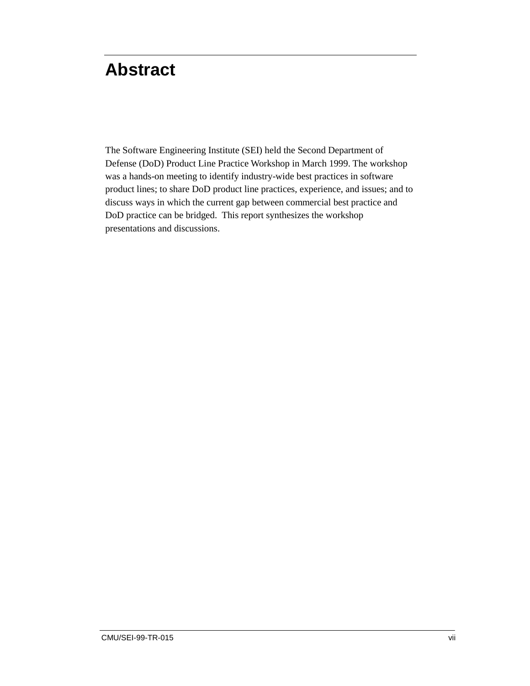## **Abstract**

The Software Engineering Institute (SEI) held the Second Department of Defense (DoD) Product Line Practice Workshop in March 1999. The workshop was a hands-on meeting to identify industry-wide best practices in software product lines; to share DoD product line practices, experience, and issues; and to discuss ways in which the current gap between commercial best practice and DoD practice can be bridged. This report synthesizes the workshop presentations and discussions.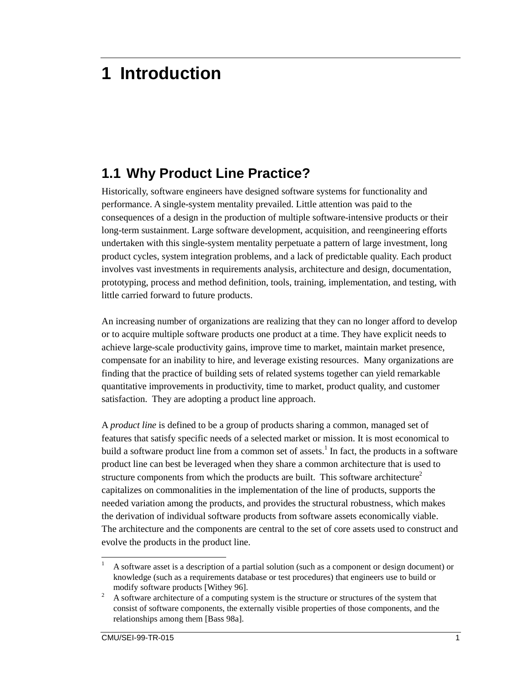## **1 Introduction**

## **1.1 Why Product Line Practice?**

Historically, software engineers have designed software systems for functionality and performance. A single-system mentality prevailed. Little attention was paid to the consequences of a design in the production of multiple software-intensive products or their long-term sustainment. Large software development, acquisition, and reengineering efforts undertaken with this single-system mentality perpetuate a pattern of large investment, long product cycles, system integration problems, and a lack of predictable quality. Each product involves vast investments in requirements analysis, architecture and design, documentation, prototyping, process and method definition, tools, training, implementation, and testing, with little carried forward to future products.

An increasing number of organizations are realizing that they can no longer afford to develop or to acquire multiple software products one product at a time. They have explicit needs to achieve large-scale productivity gains, improve time to market, maintain market presence, compensate for an inability to hire, and leverage existing resources. Many organizations are finding that the practice of building sets of related systems together can yield remarkable quantitative improvements in productivity, time to market, product quality, and customer satisfaction. They are adopting a product line approach.

A *product line* is defined to be a group of products sharing a common, managed set of features that satisfy specific needs of a selected market or mission. It is most economical to build a software product line from a common set of assets.<sup>1</sup> In fact, the products in a software product line can best be leveraged when they share a common architecture that is used to structure components from which the products are built. This software architecture<sup>2</sup> capitalizes on commonalities in the implementation of the line of products, supports the needed variation among the products, and provides the structural robustness, which makes the derivation of individual software products from software assets economically viable. The architecture and the components are central to the set of core assets used to construct and evolve the products in the product line.

 $\overline{a}$ 

<sup>1</sup> A software asset is a description of a partial solution (such as a component or design document) or knowledge (such as a requirements database or test procedures) that engineers use to build or modify software products [Withey 96].

<sup>2</sup> A software architecture of a computing system is the structure or structures of the system that consist of software components, the externally visible properties of those components, and the relationships among them [Bass 98a].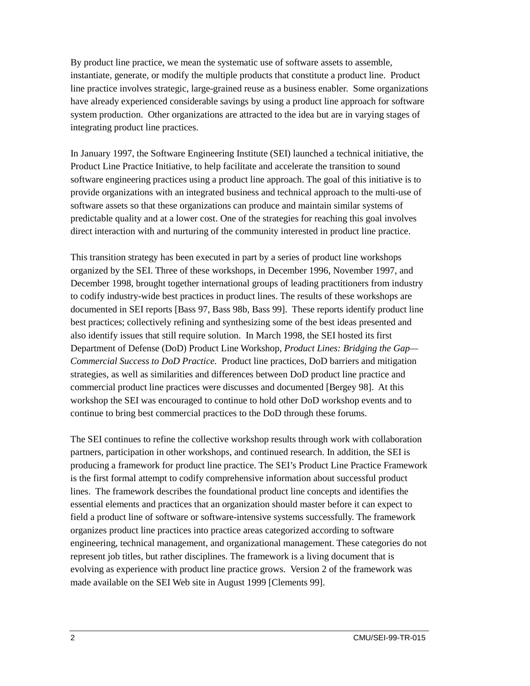By product line practice, we mean the systematic use of software assets to assemble, instantiate, generate, or modify the multiple products that constitute a product line. Product line practice involves strategic, large-grained reuse as a business enabler. Some organizations have already experienced considerable savings by using a product line approach for software system production. Other organizations are attracted to the idea but are in varying stages of integrating product line practices.

In January 1997, the Software Engineering Institute (SEI) launched a technical initiative, the Product Line Practice Initiative, to help facilitate and accelerate the transition to sound software engineering practices using a product line approach. The goal of this initiative is to provide organizations with an integrated business and technical approach to the multi-use of software assets so that these organizations can produce and maintain similar systems of predictable quality and at a lower cost. One of the strategies for reaching this goal involves direct interaction with and nurturing of the community interested in product line practice.

This transition strategy has been executed in part by a series of product line workshops organized by the SEI. Three of these workshops, in December 1996, November 1997, and December 1998, brought together international groups of leading practitioners from industry to codify industry-wide best practices in product lines. The results of these workshops are documented in SEI reports [Bass 97, Bass 98b, Bass 99]. These reports identify product line best practices; collectively refining and synthesizing some of the best ideas presented and also identify issues that still require solution. In March 1998, the SEI hosted its first Department of Defense (DoD) Product Line Workshop, *Product Lines: Bridging the Gap— Commercial Success to DoD Practice.* Product line practices, DoD barriers and mitigation strategies, as well as similarities and differences between DoD product line practice and commercial product line practices were discusses and documented [Bergey 98]. At this workshop the SEI was encouraged to continue to hold other DoD workshop events and to continue to bring best commercial practices to the DoD through these forums.

The SEI continues to refine the collective workshop results through work with collaboration partners, participation in other workshops, and continued research. In addition, the SEI is producing a framework for product line practice. The SEI's Product Line Practice Framework is the first formal attempt to codify comprehensive information about successful product lines. The framework describes the foundational product line concepts and identifies the essential elements and practices that an organization should master before it can expect to field a product line of software or software-intensive systems successfully. The framework organizes product line practices into practice areas categorized according to software engineering, technical management, and organizational management. These categories do not represent job titles, but rather disciplines. The framework is a living document that is evolving as experience with product line practice grows. Version 2 of the framework was made available on the SEI Web site in August 1999 [Clements 99].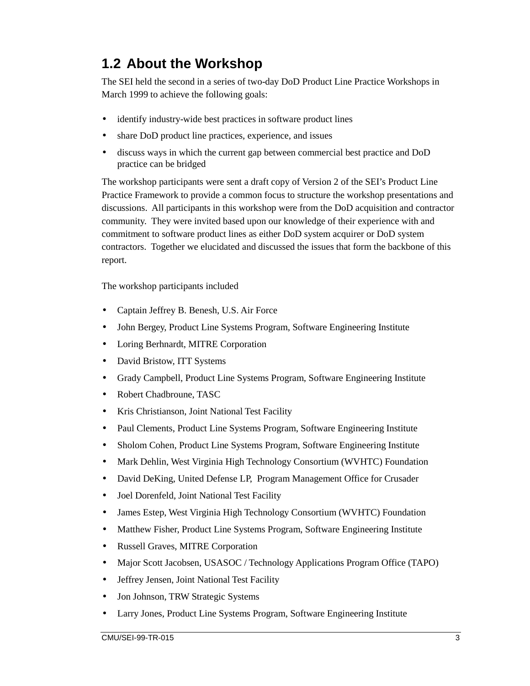## **1.2 About the Workshop**

The SEI held the second in a series of two-day DoD Product Line Practice Workshops in March 1999 to achieve the following goals:

- identify industry-wide best practices in software product lines
- share DoD product line practices, experience, and issues
- discuss ways in which the current gap between commercial best practice and DoD practice can be bridged

The workshop participants were sent a draft copy of Version 2 of the SEI's Product Line Practice Framework to provide a common focus to structure the workshop presentations and discussions. All participants in this workshop were from the DoD acquisition and contractor community. They were invited based upon our knowledge of their experience with and commitment to software product lines as either DoD system acquirer or DoD system contractors. Together we elucidated and discussed the issues that form the backbone of this report.

The workshop participants included

- Captain Jeffrey B. Benesh, U.S. Air Force
- John Bergey, Product Line Systems Program, Software Engineering Institute
- Loring Berhnardt, MITRE Corporation
- David Bristow, ITT Systems
- Grady Campbell, Product Line Systems Program, Software Engineering Institute
- Robert Chadbroune, TASC
- Kris Christianson, Joint National Test Facility
- Paul Clements, Product Line Systems Program, Software Engineering Institute
- Sholom Cohen, Product Line Systems Program, Software Engineering Institute
- Mark Dehlin, West Virginia High Technology Consortium (WVHTC) Foundation
- David DeKing, United Defense LP, Program Management Office for Crusader
- Joel Dorenfeld, Joint National Test Facility
- James Estep, West Virginia High Technology Consortium (WVHTC) Foundation
- Matthew Fisher, Product Line Systems Program, Software Engineering Institute
- Russell Graves, MITRE Corporation
- Major Scott Jacobsen, USASOC / Technology Applications Program Office (TAPO)
- Jeffrey Jensen, Joint National Test Facility
- Jon Johnson, TRW Strategic Systems
- Larry Jones, Product Line Systems Program, Software Engineering Institute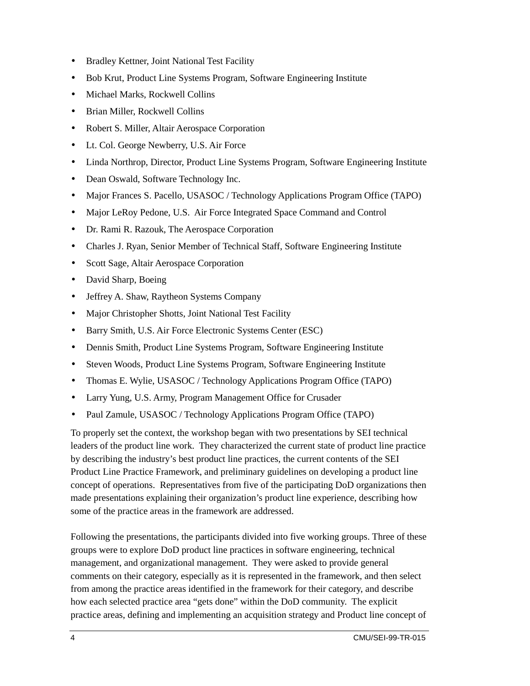- Bradley Kettner, Joint National Test Facility
- Bob Krut, Product Line Systems Program, Software Engineering Institute
- Michael Marks, Rockwell Collins
- Brian Miller, Rockwell Collins
- Robert S. Miller, Altair Aerospace Corporation
- Lt. Col. George Newberry, U.S. Air Force
- Linda Northrop, Director, Product Line Systems Program, Software Engineering Institute
- Dean Oswald, Software Technology Inc.
- Major Frances S. Pacello, USASOC / Technology Applications Program Office (TAPO)
- Major LeRoy Pedone, U.S. Air Force Integrated Space Command and Control
- Dr. Rami R. Razouk, The Aerospace Corporation
- Charles J. Ryan, Senior Member of Technical Staff, Software Engineering Institute
- Scott Sage, Altair Aerospace Corporation
- David Sharp, Boeing
- Jeffrey A. Shaw, Raytheon Systems Company
- Major Christopher Shotts, Joint National Test Facility
- Barry Smith, U.S. Air Force Electronic Systems Center (ESC)
- Dennis Smith, Product Line Systems Program, Software Engineering Institute
- Steven Woods, Product Line Systems Program, Software Engineering Institute
- Thomas E. Wylie, USASOC / Technology Applications Program Office (TAPO)
- Larry Yung, U.S. Army, Program Management Office for Crusader
- Paul Zamule, USASOC / Technology Applications Program Office (TAPO)

To properly set the context, the workshop began with two presentations by SEI technical leaders of the product line work. They characterized the current state of product line practice by describing the industry's best product line practices, the current contents of the SEI Product Line Practice Framework, and preliminary guidelines on developing a product line concept of operations. Representatives from five of the participating DoD organizations then made presentations explaining their organization's product line experience, describing how some of the practice areas in the framework are addressed.

Following the presentations, the participants divided into five working groups. Three of these groups were to explore DoD product line practices in software engineering, technical management, and organizational management. They were asked to provide general comments on their category, especially as it is represented in the framework, and then select from among the practice areas identified in the framework for their category, and describe how each selected practice area "gets done" within the DoD community. The explicit practice areas, defining and implementing an acquisition strategy and Product line concept of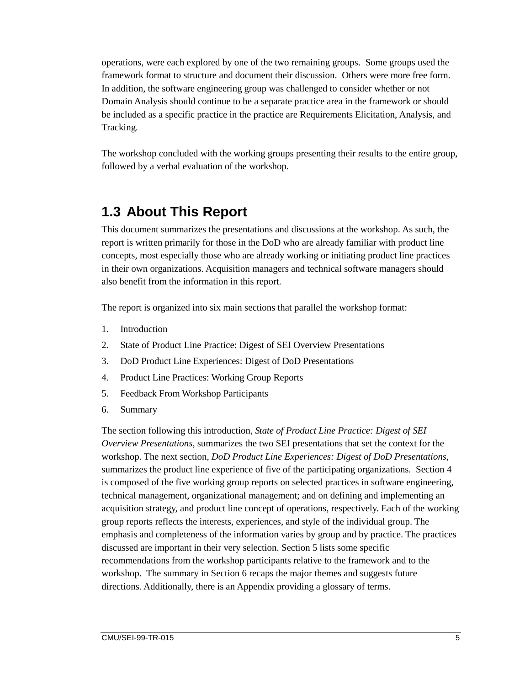operations, were each explored by one of the two remaining groups. Some groups used the framework format to structure and document their discussion. Others were more free form. In addition, the software engineering group was challenged to consider whether or not Domain Analysis should continue to be a separate practice area in the framework or should be included as a specific practice in the practice are Requirements Elicitation, Analysis, and Tracking.

The workshop concluded with the working groups presenting their results to the entire group, followed by a verbal evaluation of the workshop.

## **1.3 About This Report**

This document summarizes the presentations and discussions at the workshop. As such, the report is written primarily for those in the DoD who are already familiar with product line concepts, most especially those who are already working or initiating product line practices in their own organizations. Acquisition managers and technical software managers should also benefit from the information in this report.

The report is organized into six main sections that parallel the workshop format:

- 1. Introduction
- 2. State of Product Line Practice: Digest of SEI Overview Presentations
- 3. DoD Product Line Experiences: Digest of DoD Presentations
- 4. Product Line Practices: Working Group Reports
- 5. Feedback From Workshop Participants
- 6. Summary

The section following this introduction, *State of Product Line Practice: Digest of SEI Overview Presentations*, summarizes the two SEI presentations that set the context for the workshop. The next section, *DoD Product Line Experiences: Digest of DoD Presentations*, summarizes the product line experience of five of the participating organizations. Section 4 is composed of the five working group reports on selected practices in software engineering, technical management, organizational management; and on defining and implementing an acquisition strategy, and product line concept of operations, respectively. Each of the working group reports reflects the interests, experiences, and style of the individual group. The emphasis and completeness of the information varies by group and by practice. The practices discussed are important in their very selection. Section 5 lists some specific recommendations from the workshop participants relative to the framework and to the workshop. The summary in Section 6 recaps the major themes and suggests future directions. Additionally, there is an Appendix providing a glossary of terms.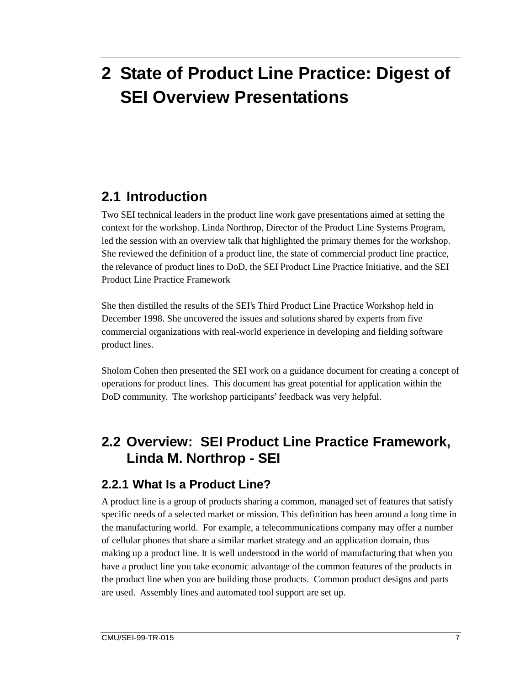## **2 State of Product Line Practice: Digest of SEI Overview Presentations**

## **2.1 Introduction**

Two SEI technical leaders in the product line work gave presentations aimed at setting the context for the workshop. Linda Northrop, Director of the Product Line Systems Program, led the session with an overview talk that highlighted the primary themes for the workshop. She reviewed the definition of a product line, the state of commercial product line practice, the relevance of product lines to DoD, the SEI Product Line Practice Initiative, and the SEI Product Line Practice Framework

She then distilled the results of the SEI's Third Product Line Practice Workshop held in December 1998. She uncovered the issues and solutions shared by experts from five commercial organizations with real-world experience in developing and fielding software product lines.

Sholom Cohen then presented the SEI work on a guidance document for creating a concept of operations for product lines. This document has great potential for application within the DoD community. The workshop participants' feedback was very helpful.

## **2.2 Overview: SEI Product Line Practice Framework, Linda M. Northrop - SEI**

#### **2.2.1 What Is a Product Line?**

A product line is a group of products sharing a common, managed set of features that satisfy specific needs of a selected market or mission. This definition has been around a long time in the manufacturing world. For example, a telecommunications company may offer a number of cellular phones that share a similar market strategy and an application domain, thus making up a product line. It is well understood in the world of manufacturing that when you have a product line you take economic advantage of the common features of the products in the product line when you are building those products. Common product designs and parts are used. Assembly lines and automated tool support are set up.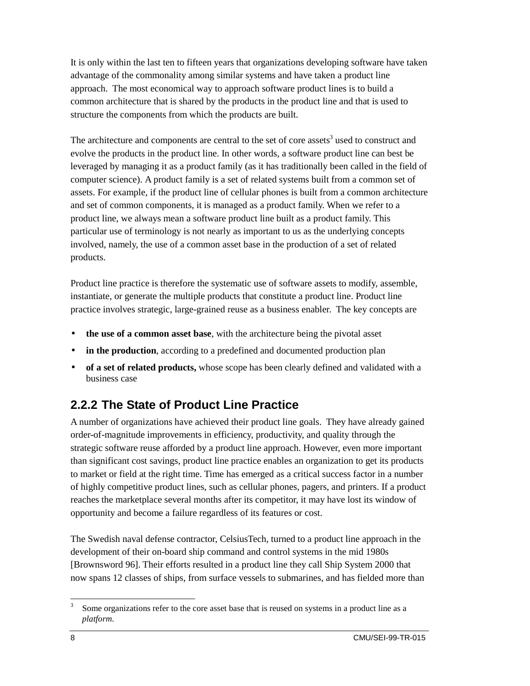It is only within the last ten to fifteen years that organizations developing software have taken advantage of the commonality among similar systems and have taken a product line approach. The most economical way to approach software product lines is to build a common architecture that is shared by the products in the product line and that is used to structure the components from which the products are built.

The architecture and components are central to the set of core assets<sup>3</sup> used to construct and evolve the products in the product line. In other words, a software product line can best be leveraged by managing it as a product family (as it has traditionally been called in the field of computer science). A product family is a set of related systems built from a common set of assets. For example, if the product line of cellular phones is built from a common architecture and set of common components, it is managed as a product family. When we refer to a product line, we always mean a software product line built as a product family. This particular use of terminology is not nearly as important to us as the underlying concepts involved, namely, the use of a common asset base in the production of a set of related products.

Product line practice is therefore the systematic use of software assets to modify, assemble, instantiate, or generate the multiple products that constitute a product line. Product line practice involves strategic, large-grained reuse as a business enabler. The key concepts are

- **the use of a common asset base**, with the architecture being the pivotal asset
- in the production, according to a predefined and documented production plan
- **of a set of related products,** whose scope has been clearly defined and validated with a business case

### **2.2.2 The State of Product Line Practice**

A number of organizations have achieved their product line goals. They have already gained order-of-magnitude improvements in efficiency, productivity, and quality through the strategic software reuse afforded by a product line approach. However, even more important than significant cost savings, product line practice enables an organization to get its products to market or field at the right time. Time has emerged as a critical success factor in a number of highly competitive product lines, such as cellular phones, pagers, and printers. If a product reaches the marketplace several months after its competitor, it may have lost its window of opportunity and become a failure regardless of its features or cost.

The Swedish naval defense contractor, CelsiusTech, turned to a product line approach in the development of their on-board ship command and control systems in the mid 1980s [Brownsword 96]. Their efforts resulted in a product line they call Ship System 2000 that now spans 12 classes of ships, from surface vessels to submarines, and has fielded more than

 $\overline{a}$ 

<sup>3</sup> Some organizations refer to the core asset base that is reused on systems in a product line as a *platform*.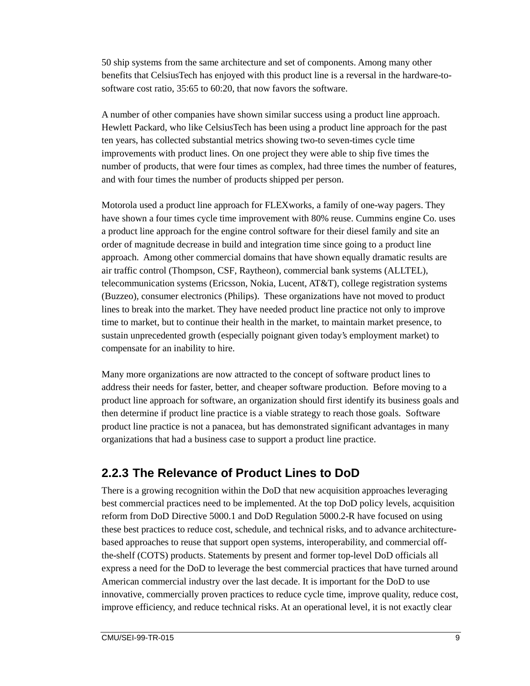50 ship systems from the same architecture and set of components. Among many other benefits that CelsiusTech has enjoyed with this product line is a reversal in the hardware-tosoftware cost ratio, 35:65 to 60:20, that now favors the software.

A number of other companies have shown similar success using a product line approach. Hewlett Packard, who like CelsiusTech has been using a product line approach for the past ten years, has collected substantial metrics showing two-to seven-times cycle time improvements with product lines. On one project they were able to ship five times the number of products, that were four times as complex, had three times the number of features, and with four times the number of products shipped per person.

Motorola used a product line approach for FLEXworks, a family of one-way pagers. They have shown a four times cycle time improvement with 80% reuse. Cummins engine Co. uses a product line approach for the engine control software for their diesel family and site an order of magnitude decrease in build and integration time since going to a product line approach. Among other commercial domains that have shown equally dramatic results are air traffic control (Thompson, CSF, Raytheon), commercial bank systems (ALLTEL), telecommunication systems (Ericsson, Nokia, Lucent, AT&T), college registration systems (Buzzeo), consumer electronics (Philips). These organizations have not moved to product lines to break into the market. They have needed product line practice not only to improve time to market, but to continue their health in the market, to maintain market presence, to sustain unprecedented growth (especially poignant given today's employment market) to compensate for an inability to hire.

Many more organizations are now attracted to the concept of software product lines to address their needs for faster, better, and cheaper software production. Before moving to a product line approach for software, an organization should first identify its business goals and then determine if product line practice is a viable strategy to reach those goals. Software product line practice is not a panacea, but has demonstrated significant advantages in many organizations that had a business case to support a product line practice.

### **2.2.3 The Relevance of Product Lines to DoD**

There is a growing recognition within the DoD that new acquisition approaches leveraging best commercial practices need to be implemented. At the top DoD policy levels, acquisition reform from DoD Directive 5000.1 and DoD Regulation 5000.2-R have focused on using these best practices to reduce cost, schedule, and technical risks, and to advance architecturebased approaches to reuse that support open systems, interoperability, and commercial offthe-shelf (COTS) products. Statements by present and former top-level DoD officials all express a need for the DoD to leverage the best commercial practices that have turned around American commercial industry over the last decade. It is important for the DoD to use innovative, commercially proven practices to reduce cycle time, improve quality, reduce cost, improve efficiency, and reduce technical risks. At an operational level, it is not exactly clear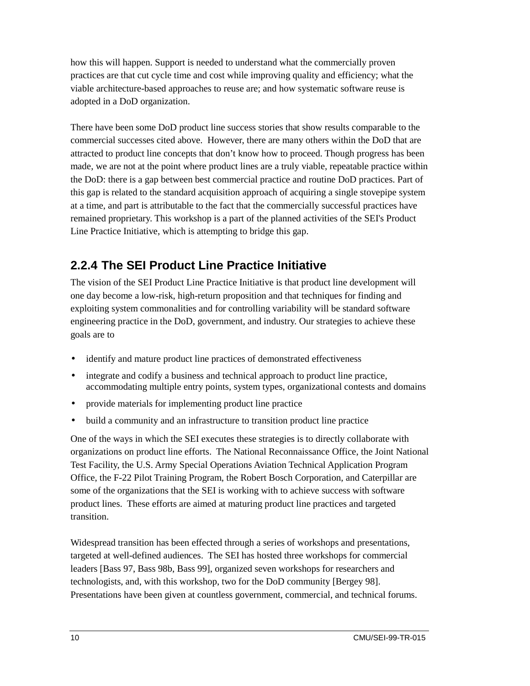how this will happen. Support is needed to understand what the commercially proven practices are that cut cycle time and cost while improving quality and efficiency; what the viable architecture-based approaches to reuse are; and how systematic software reuse is adopted in a DoD organization.

There have been some DoD product line success stories that show results comparable to the commercial successes cited above. However, there are many others within the DoD that are attracted to product line concepts that don't know how to proceed. Though progress has been made, we are not at the point where product lines are a truly viable, repeatable practice within the DoD: there is a gap between best commercial practice and routine DoD practices. Part of this gap is related to the standard acquisition approach of acquiring a single stovepipe system at a time, and part is attributable to the fact that the commercially successful practices have remained proprietary. This workshop is a part of the planned activities of the SEI's Product Line Practice Initiative, which is attempting to bridge this gap.

### **2.2.4 The SEI Product Line Practice Initiative**

The vision of the SEI Product Line Practice Initiative is that product line development will one day become a low-risk, high-return proposition and that techniques for finding and exploiting system commonalities and for controlling variability will be standard software engineering practice in the DoD, government, and industry. Our strategies to achieve these goals are to

- identify and mature product line practices of demonstrated effectiveness
- integrate and codify a business and technical approach to product line practice, accommodating multiple entry points, system types, organizational contests and domains
- provide materials for implementing product line practice
- build a community and an infrastructure to transition product line practice

One of the ways in which the SEI executes these strategies is to directly collaborate with organizations on product line efforts. The National Reconnaissance Office, the Joint National Test Facility, the U.S. Army Special Operations Aviation Technical Application Program Office, the F-22 Pilot Training Program, the Robert Bosch Corporation, and Caterpillar are some of the organizations that the SEI is working with to achieve success with software product lines. These efforts are aimed at maturing product line practices and targeted transition.

Widespread transition has been effected through a series of workshops and presentations, targeted at well-defined audiences. The SEI has hosted three workshops for commercial leaders [Bass 97, Bass 98b, Bass 99], organized seven workshops for researchers and technologists, and, with this workshop, two for the DoD community [Bergey 98]. Presentations have been given at countless government, commercial, and technical forums.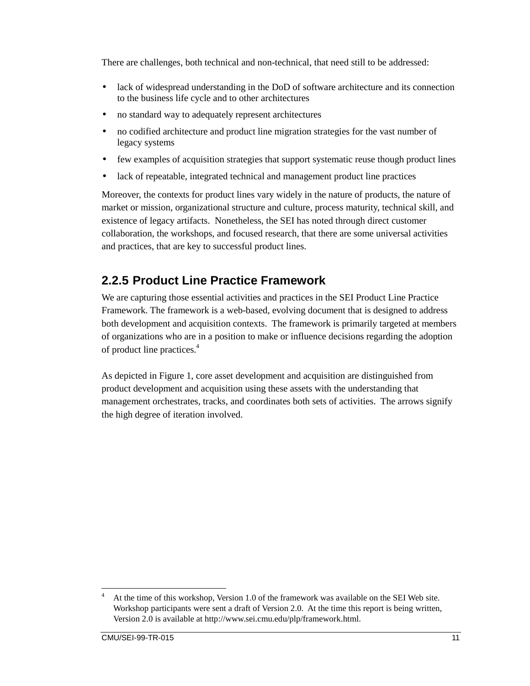There are challenges, both technical and non-technical, that need still to be addressed:

- lack of widespread understanding in the DoD of software architecture and its connection to the business life cycle and to other architectures
- no standard way to adequately represent architectures
- no codified architecture and product line migration strategies for the vast number of legacy systems
- few examples of acquisition strategies that support systematic reuse though product lines
- lack of repeatable, integrated technical and management product line practices

Moreover, the contexts for product lines vary widely in the nature of products, the nature of market or mission, organizational structure and culture, process maturity, technical skill, and existence of legacy artifacts. Nonetheless, the SEI has noted through direct customer collaboration, the workshops, and focused research, that there are some universal activities and practices, that are key to successful product lines.

### **2.2.5 Product Line Practice Framework**

We are capturing those essential activities and practices in the SEI Product Line Practice Framework. The framework is a web-based, evolving document that is designed to address both development and acquisition contexts. The framework is primarily targeted at members of organizations who are in a position to make or influence decisions regarding the adoption of product line practices.4

As depicted in Figure 1, core asset development and acquisition are distinguished from product development and acquisition using these assets with the understanding that management orchestrates, tracks, and coordinates both sets of activities. The arrows signify the high degree of iteration involved.

 $\frac{1}{4}$  At the time of this workshop, Version 1.0 of the framework was available on the SEI Web site. Workshop participants were sent a draft of Version 2.0. At the time this report is being written, Version 2.0 is available at http://www.sei.cmu.edu/plp/framework.html.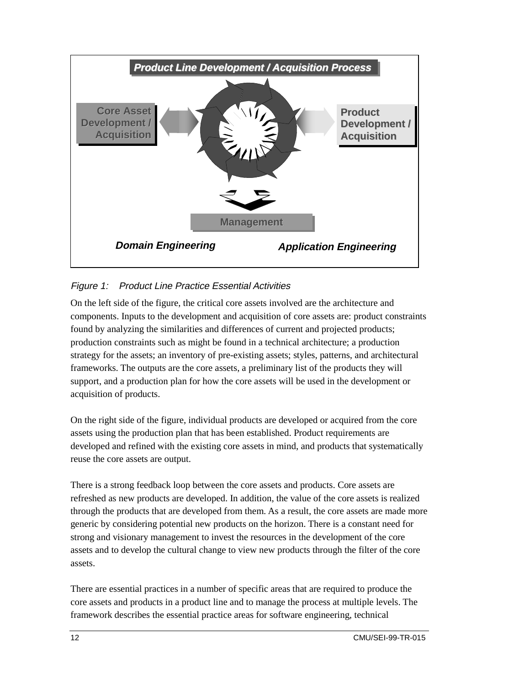

#### Figure 1: Product Line Practice Essential Activities

On the left side of the figure, the critical core assets involved are the architecture and components. Inputs to the development and acquisition of core assets are: product constraints found by analyzing the similarities and differences of current and projected products; production constraints such as might be found in a technical architecture; a production strategy for the assets; an inventory of pre-existing assets; styles, patterns, and architectural frameworks. The outputs are the core assets, a preliminary list of the products they will support, and a production plan for how the core assets will be used in the development or acquisition of products.

On the right side of the figure, individual products are developed or acquired from the core assets using the production plan that has been established. Product requirements are developed and refined with the existing core assets in mind, and products that systematically reuse the core assets are output.

There is a strong feedback loop between the core assets and products. Core assets are refreshed as new products are developed. In addition, the value of the core assets is realized through the products that are developed from them. As a result, the core assets are made more generic by considering potential new products on the horizon. There is a constant need for strong and visionary management to invest the resources in the development of the core assets and to develop the cultural change to view new products through the filter of the core assets.

There are essential practices in a number of specific areas that are required to produce the core assets and products in a product line and to manage the process at multiple levels. The framework describes the essential practice areas for software engineering, technical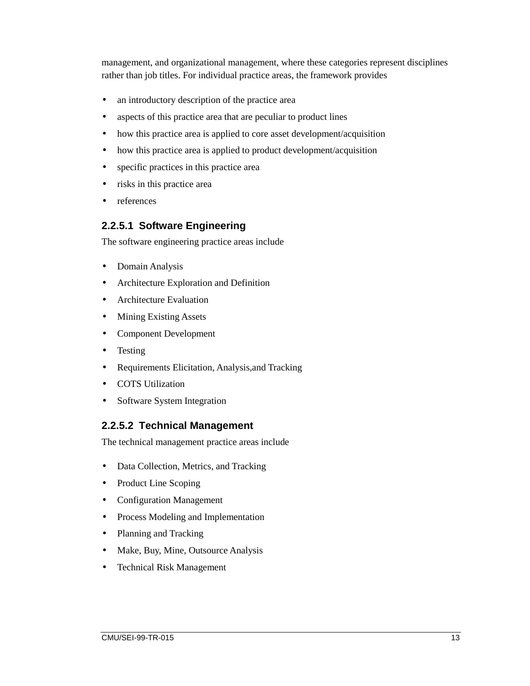management, and organizational management, where these categories represent disciplines rather than job titles. For individual practice areas, the framework provides

- an introductory description of the practice area
- aspects of this practice area that are peculiar to product lines
- how this practice area is applied to core asset development/acquisition
- how this practice area is applied to product development/acquisition
- specific practices in this practice area
- risks in this practice area
- references

#### **2.2.5.1 Software Engineering**

The software engineering practice areas include

- Domain Analysis
- Architecture Exploration and Definition
- Architecture Evaluation
- Mining Existing Assets
- Component Development
- Testing
- Requirements Elicitation, Analysis,and Tracking
- COTS Utilization
- Software System Integration

#### **2.2.5.2 Technical Management**

The technical management practice areas include

- Data Collection, Metrics, and Tracking
- Product Line Scoping
- Configuration Management
- Process Modeling and Implementation
- Planning and Tracking
- Make, Buy, Mine, Outsource Analysis
- Technical Risk Management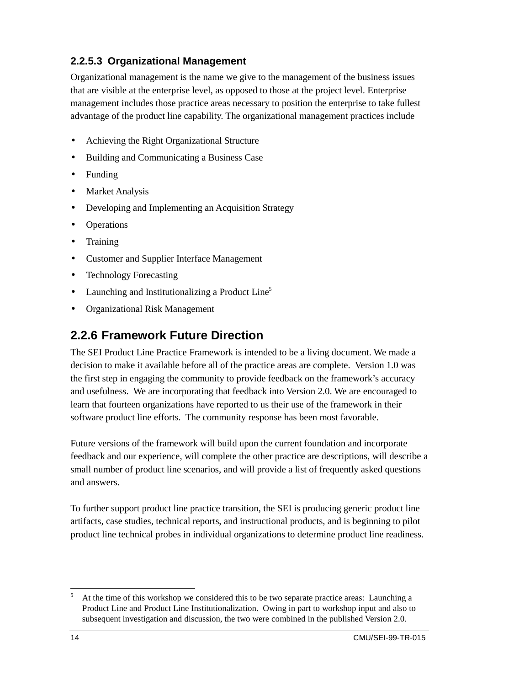#### **2.2.5.3 Organizational Management**

Organizational management is the name we give to the management of the business issues that are visible at the enterprise level, as opposed to those at the project level. Enterprise management includes those practice areas necessary to position the enterprise to take fullest advantage of the product line capability. The organizational management practices include

- Achieving the Right Organizational Structure
- Building and Communicating a Business Case
- Funding
- Market Analysis
- Developing and Implementing an Acquisition Strategy
- Operations
- Training
- Customer and Supplier Interface Management
- Technology Forecasting
- Launching and Institutionalizing a Product Line<sup>5</sup>
- Organizational Risk Management

### **2.2.6 Framework Future Direction**

The SEI Product Line Practice Framework is intended to be a living document. We made a decision to make it available before all of the practice areas are complete. Version 1.0 was the first step in engaging the community to provide feedback on the framework's accuracy and usefulness. We are incorporating that feedback into Version 2.0. We are encouraged to learn that fourteen organizations have reported to us their use of the framework in their software product line efforts. The community response has been most favorable.

Future versions of the framework will build upon the current foundation and incorporate feedback and our experience, will complete the other practice are descriptions, will describe a small number of product line scenarios, and will provide a list of frequently asked questions and answers.

To further support product line practice transition, the SEI is producing generic product line artifacts, case studies, technical reports, and instructional products, and is beginning to pilot product line technical probes in individual organizations to determine product line readiness.

 5 At the time of this workshop we considered this to be two separate practice areas: Launching a Product Line and Product Line Institutionalization. Owing in part to workshop input and also to subsequent investigation and discussion, the two were combined in the published Version 2.0.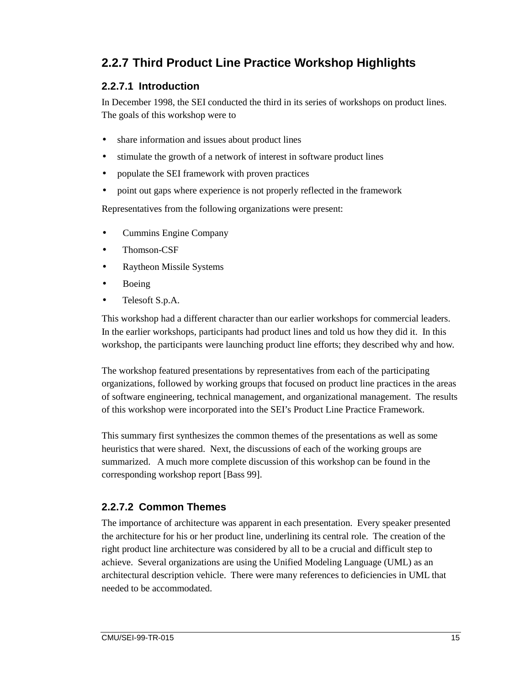### **2.2.7 Third Product Line Practice Workshop Highlights**

#### **2.2.7.1 Introduction**

In December 1998, the SEI conducted the third in its series of workshops on product lines. The goals of this workshop were to

- share information and issues about product lines
- stimulate the growth of a network of interest in software product lines
- populate the SEI framework with proven practices
- point out gaps where experience is not properly reflected in the framework

Representatives from the following organizations were present:

- Cummins Engine Company
- Thomson-CSF
- Raytheon Missile Systems
- **Boeing**
- Telesoft S.p.A.

This workshop had a different character than our earlier workshops for commercial leaders. In the earlier workshops, participants had product lines and told us how they did it. In this workshop, the participants were launching product line efforts; they described why and how.

The workshop featured presentations by representatives from each of the participating organizations, followed by working groups that focused on product line practices in the areas of software engineering, technical management, and organizational management. The results of this workshop were incorporated into the SEI's Product Line Practice Framework.

This summary first synthesizes the common themes of the presentations as well as some heuristics that were shared. Next, the discussions of each of the working groups are summarized. A much more complete discussion of this workshop can be found in the corresponding workshop report [Bass 99].

#### **2.2.7.2 Common Themes**

The importance of architecture was apparent in each presentation. Every speaker presented the architecture for his or her product line, underlining its central role. The creation of the right product line architecture was considered by all to be a crucial and difficult step to achieve. Several organizations are using the Unified Modeling Language (UML) as an architectural description vehicle. There were many references to deficiencies in UML that needed to be accommodated.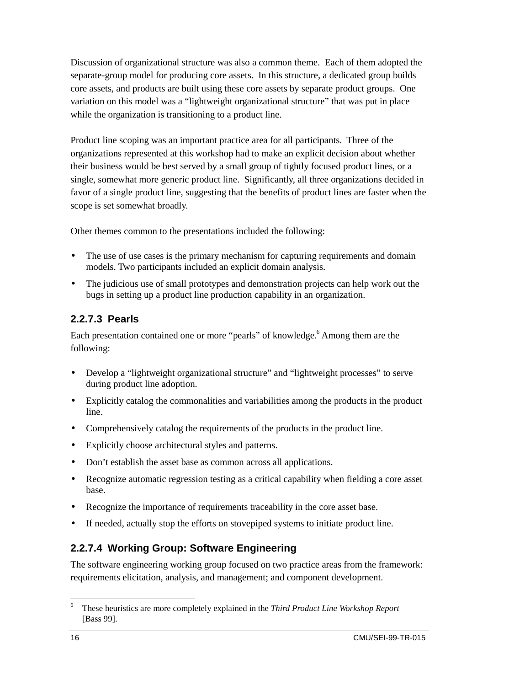Discussion of organizational structure was also a common theme. Each of them adopted the separate-group model for producing core assets. In this structure, a dedicated group builds core assets, and products are built using these core assets by separate product groups. One variation on this model was a "lightweight organizational structure" that was put in place while the organization is transitioning to a product line.

Product line scoping was an important practice area for all participants. Three of the organizations represented at this workshop had to make an explicit decision about whether their business would be best served by a small group of tightly focused product lines, or a single, somewhat more generic product line. Significantly, all three organizations decided in favor of a single product line, suggesting that the benefits of product lines are faster when the scope is set somewhat broadly.

Other themes common to the presentations included the following:

- The use of use cases is the primary mechanism for capturing requirements and domain models. Two participants included an explicit domain analysis.
- The judicious use of small prototypes and demonstration projects can help work out the bugs in setting up a product line production capability in an organization.

#### **2.2.7.3 Pearls**

Each presentation contained one or more "pearls" of knowledge.<sup>6</sup> Among them are the following:

- Develop a "lightweight organizational structure" and "lightweight processes" to serve during product line adoption.
- Explicitly catalog the commonalities and variabilities among the products in the product line.
- Comprehensively catalog the requirements of the products in the product line.
- Explicitly choose architectural styles and patterns.
- Don't establish the asset base as common across all applications.
- Recognize automatic regression testing as a critical capability when fielding a core asset base.
- Recognize the importance of requirements traceability in the core asset base.
- If needed, actually stop the efforts on stovepiped systems to initiate product line.

#### **2.2.7.4 Working Group: Software Engineering**

The software engineering working group focused on two practice areas from the framework: requirements elicitation, analysis, and management; and component development.

 $\overline{a}$ 

<sup>6</sup> These heuristics are more completely explained in the *Third Product Line Workshop Report* [Bass 99].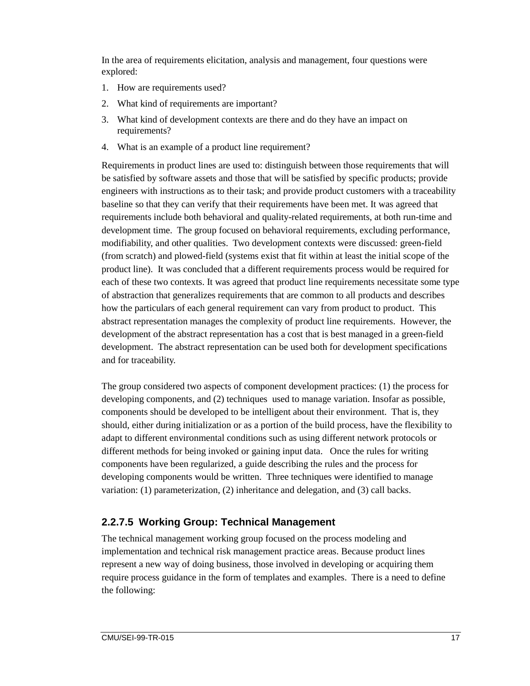In the area of requirements elicitation, analysis and management, four questions were explored:

- 1. How are requirements used?
- 2. What kind of requirements are important?
- 3. What kind of development contexts are there and do they have an impact on requirements?
- 4. What is an example of a product line requirement?

Requirements in product lines are used to: distinguish between those requirements that will be satisfied by software assets and those that will be satisfied by specific products; provide engineers with instructions as to their task; and provide product customers with a traceability baseline so that they can verify that their requirements have been met. It was agreed that requirements include both behavioral and quality-related requirements, at both run-time and development time. The group focused on behavioral requirements, excluding performance, modifiability, and other qualities. Two development contexts were discussed: green-field (from scratch) and plowed-field (systems exist that fit within at least the initial scope of the product line). It was concluded that a different requirements process would be required for each of these two contexts. It was agreed that product line requirements necessitate some type of abstraction that generalizes requirements that are common to all products and describes how the particulars of each general requirement can vary from product to product. This abstract representation manages the complexity of product line requirements. However, the development of the abstract representation has a cost that is best managed in a green-field development. The abstract representation can be used both for development specifications and for traceability.

The group considered two aspects of component development practices: (1) the process for developing components, and (2) techniques used to manage variation. Insofar as possible, components should be developed to be intelligent about their environment. That is, they should, either during initialization or as a portion of the build process, have the flexibility to adapt to different environmental conditions such as using different network protocols or different methods for being invoked or gaining input data. Once the rules for writing components have been regularized, a guide describing the rules and the process for developing components would be written. Three techniques were identified to manage variation: (1) parameterization, (2) inheritance and delegation, and (3) call backs.

#### **2.2.7.5 Working Group: Technical Management**

The technical management working group focused on the process modeling and implementation and technical risk management practice areas. Because product lines represent a new way of doing business, those involved in developing or acquiring them require process guidance in the form of templates and examples. There is a need to define the following: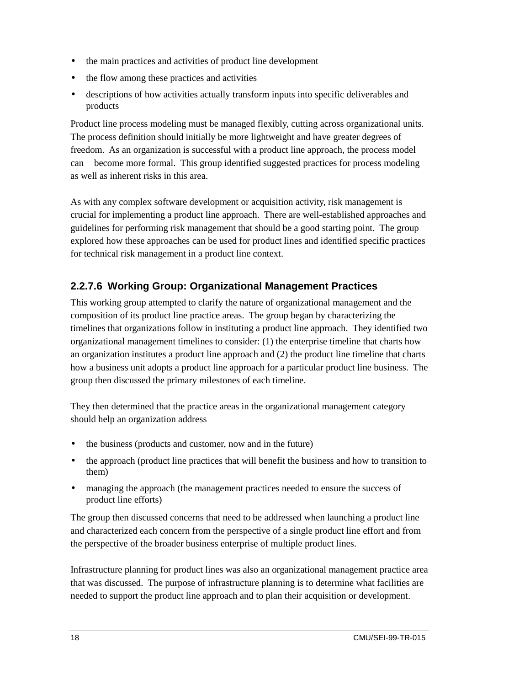- the main practices and activities of product line development
- the flow among these practices and activities
- descriptions of how activities actually transform inputs into specific deliverables and products

Product line process modeling must be managed flexibly, cutting across organizational units. The process definition should initially be more lightweight and have greater degrees of freedom. As an organization is successful with a product line approach, the process model can—become more formal. This group identified suggested practices for process modeling as well as inherent risks in this area.

As with any complex software development or acquisition activity, risk management is crucial for implementing a product line approach. There are well-established approaches and guidelines for performing risk management that should be a good starting point. The group explored how these approaches can be used for product lines and identified specific practices for technical risk management in a product line context.

#### **2.2.7.6 Working Group: Organizational Management Practices**

This working group attempted to clarify the nature of organizational management and the composition of its product line practice areas. The group began by characterizing the timelines that organizations follow in instituting a product line approach. They identified two organizational management timelines to consider: (1) the enterprise timeline that charts how an organization institutes a product line approach and (2) the product line timeline that charts how a business unit adopts a product line approach for a particular product line business. The group then discussed the primary milestones of each timeline.

They then determined that the practice areas in the organizational management category should help an organization address

- the business (products and customer, now and in the future)
- the approach (product line practices that will benefit the business and how to transition to them)
- managing the approach (the management practices needed to ensure the success of product line efforts)

The group then discussed concerns that need to be addressed when launching a product line and characterized each concern from the perspective of a single product line effort and from the perspective of the broader business enterprise of multiple product lines.

Infrastructure planning for product lines was also an organizational management practice area that was discussed. The purpose of infrastructure planning is to determine what facilities are needed to support the product line approach and to plan their acquisition or development.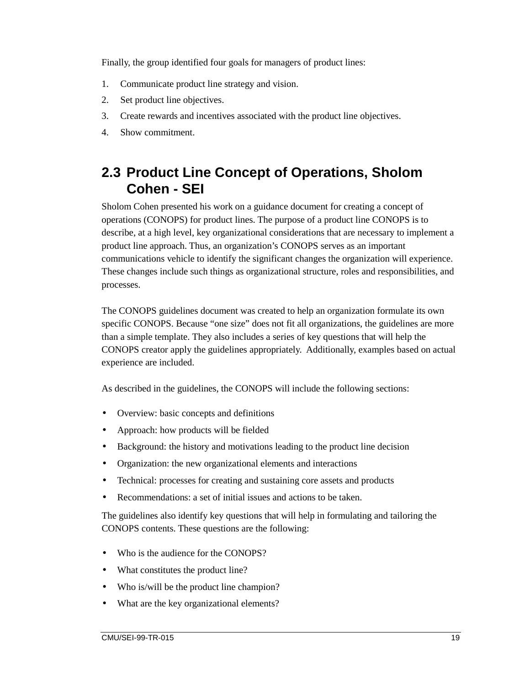Finally, the group identified four goals for managers of product lines:

- 1. Communicate product line strategy and vision.
- 2. Set product line objectives.
- 3. Create rewards and incentives associated with the product line objectives.
- 4. Show commitment.

## **2.3 Product Line Concept of Operations, Sholom Cohen - SEI**

Sholom Cohen presented his work on a guidance document for creating a concept of operations (CONOPS) for product lines. The purpose of a product line CONOPS is to describe, at a high level, key organizational considerations that are necessary to implement a product line approach. Thus, an organization's CONOPS serves as an important communications vehicle to identify the significant changes the organization will experience. These changes include such things as organizational structure, roles and responsibilities, and processes.

The CONOPS guidelines document was created to help an organization formulate its own specific CONOPS. Because "one size" does not fit all organizations, the guidelines are more than a simple template. They also includes a series of key questions that will help the CONOPS creator apply the guidelines appropriately. Additionally, examples based on actual experience are included.

As described in the guidelines, the CONOPS will include the following sections:

- Overview: basic concepts and definitions
- Approach: how products will be fielded
- Background: the history and motivations leading to the product line decision
- Organization: the new organizational elements and interactions
- Technical: processes for creating and sustaining core assets and products
- Recommendations: a set of initial issues and actions to be taken.

The guidelines also identify key questions that will help in formulating and tailoring the CONOPS contents. These questions are the following:

- Who is the audience for the CONOPS?
- What constitutes the product line?
- Who is/will be the product line champion?
- What are the key organizational elements?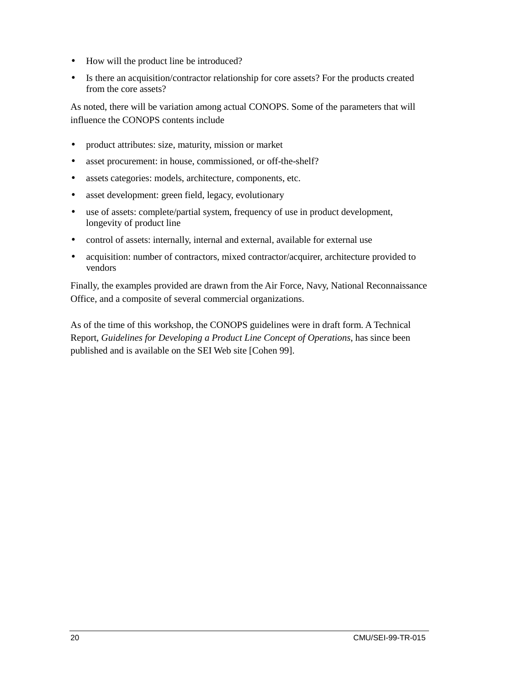- How will the product line be introduced?
- Is there an acquisition/contractor relationship for core assets? For the products created from the core assets?

As noted, there will be variation among actual CONOPS. Some of the parameters that will influence the CONOPS contents include

- product attributes: size, maturity, mission or market
- asset procurement: in house, commissioned, or off-the-shelf?
- assets categories: models, architecture, components, etc.
- asset development: green field, legacy, evolutionary
- use of assets: complete/partial system, frequency of use in product development, longevity of product line
- control of assets: internally, internal and external, available for external use
- acquisition: number of contractors, mixed contractor/acquirer, architecture provided to vendors

Finally, the examples provided are drawn from the Air Force, Navy, National Reconnaissance Office, and a composite of several commercial organizations.

As of the time of this workshop, the CONOPS guidelines were in draft form. A Technical Report, *Guidelines for Developing a Product Line Concept of Operations*, has since been published and is available on the SEI Web site [Cohen 99].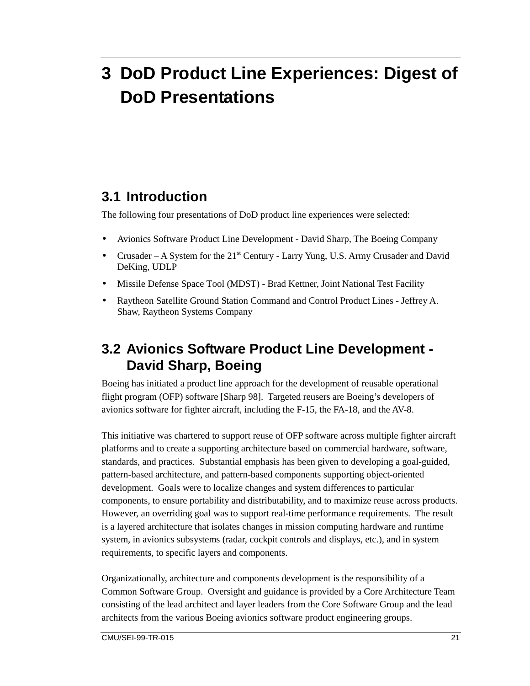## **3 DoD Product Line Experiences: Digest of DoD Presentations**

## **3.1 Introduction**

The following four presentations of DoD product line experiences were selected:

- Avionics Software Product Line Development David Sharp, The Boeing Company
- Crusader A System for the  $21<sup>st</sup>$  Century Larry Yung, U.S. Army Crusader and David DeKing, UDLP
- Missile Defense Space Tool (MDST) Brad Kettner, Joint National Test Facility
- Raytheon Satellite Ground Station Command and Control Product Lines Jeffrey A. Shaw, Raytheon Systems Company

## **3.2 Avionics Software Product Line Development - David Sharp, Boeing**

Boeing has initiated a product line approach for the development of reusable operational flight program (OFP) software [Sharp 98]. Targeted reusers are Boeing's developers of avionics software for fighter aircraft, including the F-15, the FA-18, and the AV-8.

This initiative was chartered to support reuse of OFP software across multiple fighter aircraft platforms and to create a supporting architecture based on commercial hardware, software, standards, and practices. Substantial emphasis has been given to developing a goal-guided, pattern-based architecture, and pattern-based components supporting object-oriented development. Goals were to localize changes and system differences to particular components, to ensure portability and distributability, and to maximize reuse across products. However, an overriding goal was to support real-time performance requirements. The result is a layered architecture that isolates changes in mission computing hardware and runtime system, in avionics subsystems (radar, cockpit controls and displays, etc.), and in system requirements, to specific layers and components.

Organizationally, architecture and components development is the responsibility of a Common Software Group. Oversight and guidance is provided by a Core Architecture Team consisting of the lead architect and layer leaders from the Core Software Group and the lead architects from the various Boeing avionics software product engineering groups.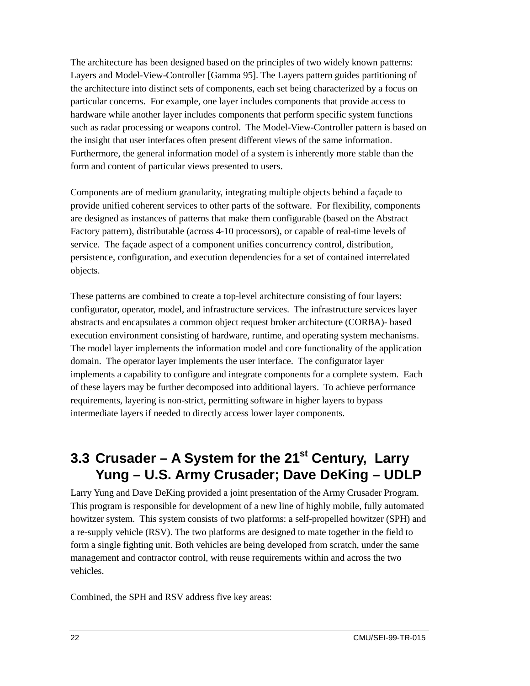The architecture has been designed based on the principles of two widely known patterns: Layers and Model-View-Controller [Gamma 95]. The Layers pattern guides partitioning of the architecture into distinct sets of components, each set being characterized by a focus on particular concerns. For example, one layer includes components that provide access to hardware while another layer includes components that perform specific system functions such as radar processing or weapons control. The Model-View-Controller pattern is based on the insight that user interfaces often present different views of the same information. Furthermore, the general information model of a system is inherently more stable than the form and content of particular views presented to users.

Components are of medium granularity, integrating multiple objects behind a façade to provide unified coherent services to other parts of the software. For flexibility, components are designed as instances of patterns that make them configurable (based on the Abstract Factory pattern), distributable (across 4-10 processors), or capable of real-time levels of service. The façade aspect of a component unifies concurrency control, distribution, persistence, configuration, and execution dependencies for a set of contained interrelated objects.

These patterns are combined to create a top-level architecture consisting of four layers: configurator, operator, model, and infrastructure services. The infrastructure services layer abstracts and encapsulates a common object request broker architecture (CORBA)- based execution environment consisting of hardware, runtime, and operating system mechanisms. The model layer implements the information model and core functionality of the application domain. The operator layer implements the user interface. The configurator layer implements a capability to configure and integrate components for a complete system. Each of these layers may be further decomposed into additional layers. To achieve performance requirements, layering is non-strict, permitting software in higher layers to bypass intermediate layers if needed to directly access lower layer components.

## **3.3 Crusader – A System for the 21st Century, Larry Yung – U.S. Army Crusader; Dave DeKing – UDLP**

Larry Yung and Dave DeKing provided a joint presentation of the Army Crusader Program. This program is responsible for development of a new line of highly mobile, fully automated howitzer system. This system consists of two platforms: a self-propelled howitzer (SPH) and a re-supply vehicle (RSV). The two platforms are designed to mate together in the field to form a single fighting unit. Both vehicles are being developed from scratch, under the same management and contractor control, with reuse requirements within and across the two vehicles.

Combined, the SPH and RSV address five key areas: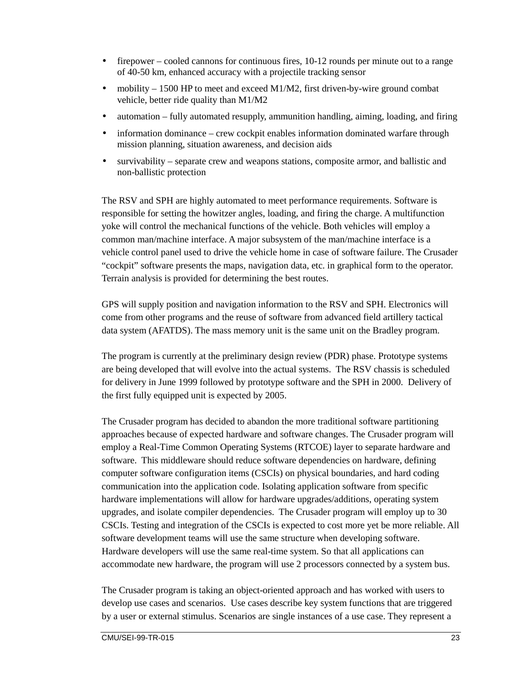- firepower cooled cannons for continuous fires,  $10-12$  rounds per minute out to a range of 40-50 km, enhanced accuracy with a projectile tracking sensor
- mobility  $-1500$  HP to meet and exceed M1/M2, first driven-by-wire ground combat vehicle, better ride quality than M1/M2
- automation fully automated resupply, ammunition handling, aiming, loading, and firing
- information dominance crew cockpit enables information dominated warfare through mission planning, situation awareness, and decision aids
- survivability separate crew and weapons stations, composite armor, and ballistic and non-ballistic protection

The RSV and SPH are highly automated to meet performance requirements. Software is responsible for setting the howitzer angles, loading, and firing the charge. A multifunction yoke will control the mechanical functions of the vehicle. Both vehicles will employ a common man/machine interface. A major subsystem of the man/machine interface is a vehicle control panel used to drive the vehicle home in case of software failure. The Crusader "cockpit" software presents the maps, navigation data, etc. in graphical form to the operator. Terrain analysis is provided for determining the best routes.

GPS will supply position and navigation information to the RSV and SPH. Electronics will come from other programs and the reuse of software from advanced field artillery tactical data system (AFATDS). The mass memory unit is the same unit on the Bradley program.

The program is currently at the preliminary design review (PDR) phase. Prototype systems are being developed that will evolve into the actual systems. The RSV chassis is scheduled for delivery in June 1999 followed by prototype software and the SPH in 2000. Delivery of the first fully equipped unit is expected by 2005.

The Crusader program has decided to abandon the more traditional software partitioning approaches because of expected hardware and software changes. The Crusader program will employ a Real-Time Common Operating Systems (RTCOE) layer to separate hardware and software. This middleware should reduce software dependencies on hardware, defining computer software configuration items (CSCIs) on physical boundaries, and hard coding communication into the application code. Isolating application software from specific hardware implementations will allow for hardware upgrades/additions, operating system upgrades, and isolate compiler dependencies. The Crusader program will employ up to 30 CSCIs. Testing and integration of the CSCIs is expected to cost more yet be more reliable. All software development teams will use the same structure when developing software. Hardware developers will use the same real-time system. So that all applications can accommodate new hardware, the program will use 2 processors connected by a system bus.

The Crusader program is taking an object-oriented approach and has worked with users to develop use cases and scenarios. Use cases describe key system functions that are triggered by a user or external stimulus. Scenarios are single instances of a use case. They represent a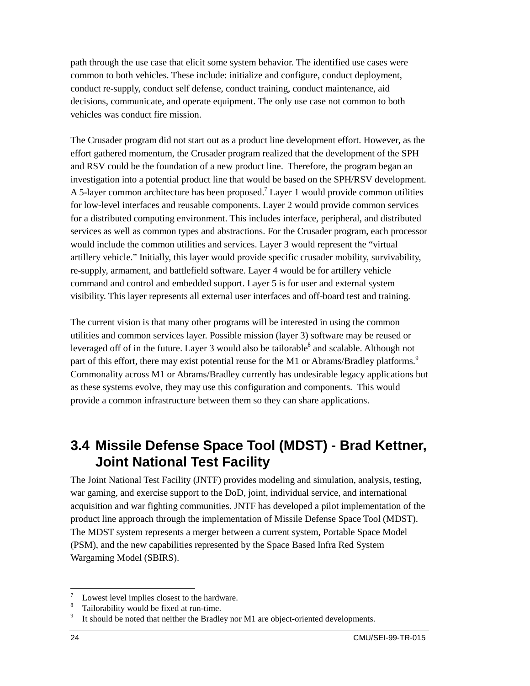path through the use case that elicit some system behavior. The identified use cases were common to both vehicles. These include: initialize and configure, conduct deployment, conduct re-supply, conduct self defense, conduct training, conduct maintenance, aid decisions, communicate, and operate equipment. The only use case not common to both vehicles was conduct fire mission.

The Crusader program did not start out as a product line development effort. However, as the effort gathered momentum, the Crusader program realized that the development of the SPH and RSV could be the foundation of a new product line. Therefore, the program began an investigation into a potential product line that would be based on the SPH/RSV development. A 5-layer common architecture has been proposed.<sup>7</sup> Layer 1 would provide common utilities for low-level interfaces and reusable components. Layer 2 would provide common services for a distributed computing environment. This includes interface, peripheral, and distributed services as well as common types and abstractions. For the Crusader program, each processor would include the common utilities and services. Layer 3 would represent the "virtual artillery vehicle." Initially, this layer would provide specific crusader mobility, survivability, re-supply, armament, and battlefield software. Layer 4 would be for artillery vehicle command and control and embedded support. Layer 5 is for user and external system visibility. This layer represents all external user interfaces and off-board test and training.

The current vision is that many other programs will be interested in using the common utilities and common services layer. Possible mission (layer 3) software may be reused or leveraged off of in the future. Layer 3 would also be tailorable $^8$  and scalable. Although not part of this effort, there may exist potential reuse for the M1 or Abrams/Bradley platforms.<sup>9</sup> Commonality across M1 or Abrams/Bradley currently has undesirable legacy applications but as these systems evolve, they may use this configuration and components. This would provide a common infrastructure between them so they can share applications.

## **3.4 Missile Defense Space Tool (MDST) - Brad Kettner, Joint National Test Facility**

The Joint National Test Facility (JNTF) provides modeling and simulation, analysis, testing, war gaming, and exercise support to the DoD, joint, individual service, and international acquisition and war fighting communities. JNTF has developed a pilot implementation of the product line approach through the implementation of Missile Defense Space Tool (MDST). The MDST system represents a merger between a current system, Portable Space Model (PSM), and the new capabilities represented by the Space Based Infra Red System Wargaming Model (SBIRS).

 $\overline{a}$ 

<sup>7</sup> Lowest level implies closest to the hardware.

<sup>8</sup> Tailorability would be fixed at run-time.

<sup>9</sup> It should be noted that neither the Bradley nor M1 are object-oriented developments.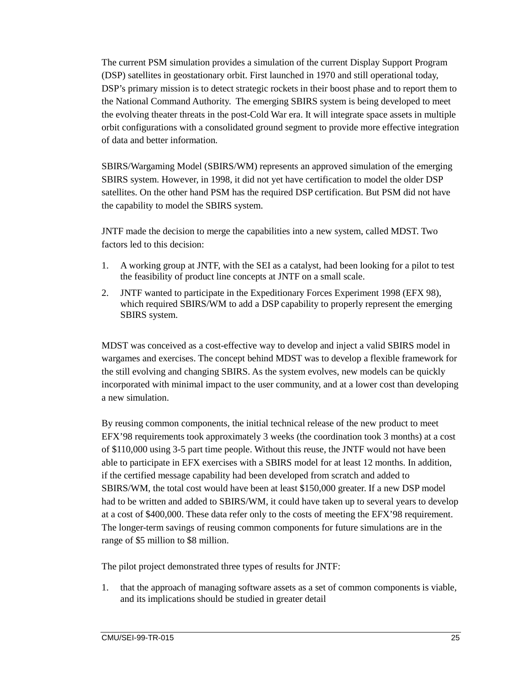The current PSM simulation provides a simulation of the current Display Support Program (DSP) satellites in geostationary orbit. First launched in 1970 and still operational today, DSP's primary mission is to detect strategic rockets in their boost phase and to report them to the National Command Authority. The emerging SBIRS system is being developed to meet the evolving theater threats in the post-Cold War era. It will integrate space assets in multiple orbit configurations with a consolidated ground segment to provide more effective integration of data and better information.

SBIRS/Wargaming Model (SBIRS/WM) represents an approved simulation of the emerging SBIRS system. However, in 1998, it did not yet have certification to model the older DSP satellites. On the other hand PSM has the required DSP certification. But PSM did not have the capability to model the SBIRS system.

JNTF made the decision to merge the capabilities into a new system, called MDST. Two factors led to this decision:

- 1. A working group at JNTF, with the SEI as a catalyst, had been looking for a pilot to test the feasibility of product line concepts at JNTF on a small scale.
- 2. JNTF wanted to participate in the Expeditionary Forces Experiment 1998 (EFX 98), which required SBIRS/WM to add a DSP capability to properly represent the emerging SBIRS system.

MDST was conceived as a cost-effective way to develop and inject a valid SBIRS model in wargames and exercises. The concept behind MDST was to develop a flexible framework for the still evolving and changing SBIRS. As the system evolves, new models can be quickly incorporated with minimal impact to the user community, and at a lower cost than developing a new simulation.

By reusing common components, the initial technical release of the new product to meet EFX'98 requirements took approximately 3 weeks (the coordination took 3 months) at a cost of \$110,000 using 3-5 part time people. Without this reuse, the JNTF would not have been able to participate in EFX exercises with a SBIRS model for at least 12 months. In addition, if the certified message capability had been developed from scratch and added to SBIRS/WM, the total cost would have been at least \$150,000 greater. If a new DSP model had to be written and added to SBIRS/WM, it could have taken up to several years to develop at a cost of \$400,000. These data refer only to the costs of meeting the EFX'98 requirement. The longer-term savings of reusing common components for future simulations are in the range of \$5 million to \$8 million.

The pilot project demonstrated three types of results for JNTF:

1. that the approach of managing software assets as a set of common components is viable, and its implications should be studied in greater detail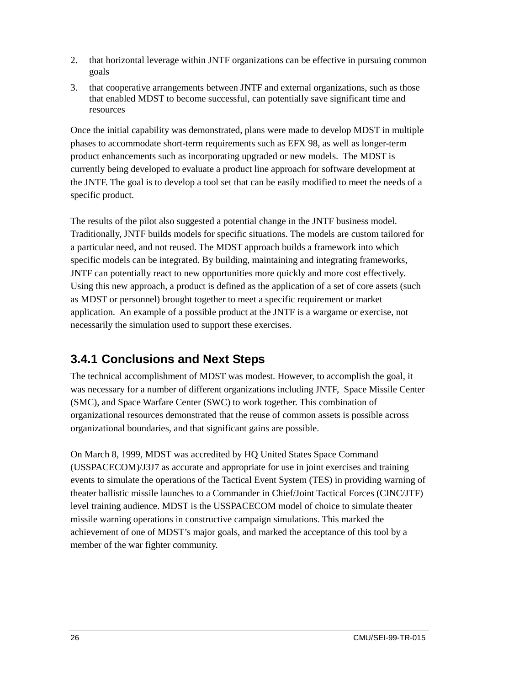- 2. that horizontal leverage within JNTF organizations can be effective in pursuing common goals
- 3. that cooperative arrangements between JNTF and external organizations, such as those that enabled MDST to become successful, can potentially save significant time and resources

Once the initial capability was demonstrated, plans were made to develop MDST in multiple phases to accommodate short-term requirements such as EFX 98, as well as longer-term product enhancements such as incorporating upgraded or new models. The MDST is currently being developed to evaluate a product line approach for software development at the JNTF. The goal is to develop a tool set that can be easily modified to meet the needs of a specific product.

The results of the pilot also suggested a potential change in the JNTF business model. Traditionally, JNTF builds models for specific situations. The models are custom tailored for a particular need, and not reused. The MDST approach builds a framework into which specific models can be integrated. By building, maintaining and integrating frameworks, JNTF can potentially react to new opportunities more quickly and more cost effectively. Using this new approach, a product is defined as the application of a set of core assets (such as MDST or personnel) brought together to meet a specific requirement or market application. An example of a possible product at the JNTF is a wargame or exercise, not necessarily the simulation used to support these exercises.

# **3.4.1 Conclusions and Next Steps**

The technical accomplishment of MDST was modest. However, to accomplish the goal, it was necessary for a number of different organizations including JNTF, Space Missile Center (SMC), and Space Warfare Center (SWC) to work together. This combination of organizational resources demonstrated that the reuse of common assets is possible across organizational boundaries, and that significant gains are possible.

On March 8, 1999, MDST was accredited by HQ United States Space Command (USSPACECOM)/J3J7 as accurate and appropriate for use in joint exercises and training events to simulate the operations of the Tactical Event System (TES) in providing warning of theater ballistic missile launches to a Commander in Chief/Joint Tactical Forces (CINC/JTF) level training audience. MDST is the USSPACECOM model of choice to simulate theater missile warning operations in constructive campaign simulations. This marked the achievement of one of MDST's major goals, and marked the acceptance of this tool by a member of the war fighter community.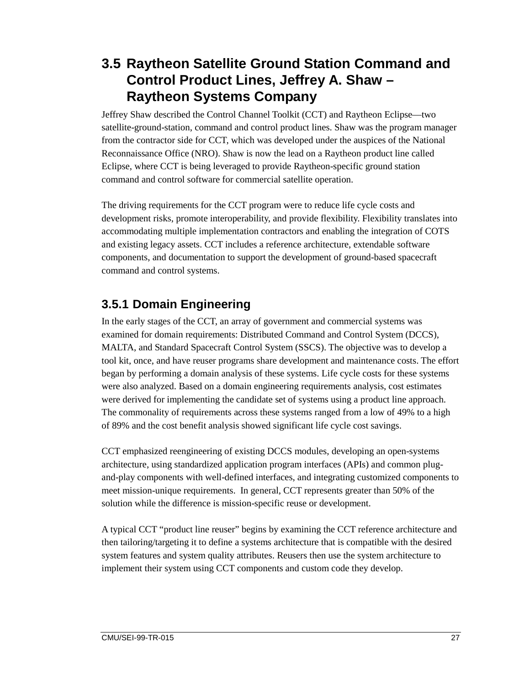# **3.5 Raytheon Satellite Ground Station Command and Control Product Lines, Jeffrey A. Shaw – Raytheon Systems Company**

Jeffrey Shaw described the Control Channel Toolkit (CCT) and Raytheon Eclipse—two satellite-ground-station, command and control product lines. Shaw was the program manager from the contractor side for CCT, which was developed under the auspices of the National Reconnaissance Office (NRO). Shaw is now the lead on a Raytheon product line called Eclipse, where CCT is being leveraged to provide Raytheon-specific ground station command and control software for commercial satellite operation.

The driving requirements for the CCT program were to reduce life cycle costs and development risks, promote interoperability, and provide flexibility. Flexibility translates into accommodating multiple implementation contractors and enabling the integration of COTS and existing legacy assets. CCT includes a reference architecture, extendable software components, and documentation to support the development of ground-based spacecraft command and control systems.

# **3.5.1 Domain Engineering**

In the early stages of the CCT, an array of government and commercial systems was examined for domain requirements: Distributed Command and Control System (DCCS), MALTA, and Standard Spacecraft Control System (SSCS). The objective was to develop a tool kit, once, and have reuser programs share development and maintenance costs. The effort began by performing a domain analysis of these systems. Life cycle costs for these systems were also analyzed. Based on a domain engineering requirements analysis, cost estimates were derived for implementing the candidate set of systems using a product line approach. The commonality of requirements across these systems ranged from a low of 49% to a high of 89% and the cost benefit analysis showed significant life cycle cost savings.

CCT emphasized reengineering of existing DCCS modules, developing an open-systems architecture, using standardized application program interfaces (APIs) and common plugand-play components with well-defined interfaces, and integrating customized components to meet mission-unique requirements. In general, CCT represents greater than 50% of the solution while the difference is mission-specific reuse or development.

A typical CCT "product line reuser" begins by examining the CCT reference architecture and then tailoring/targeting it to define a systems architecture that is compatible with the desired system features and system quality attributes. Reusers then use the system architecture to implement their system using CCT components and custom code they develop.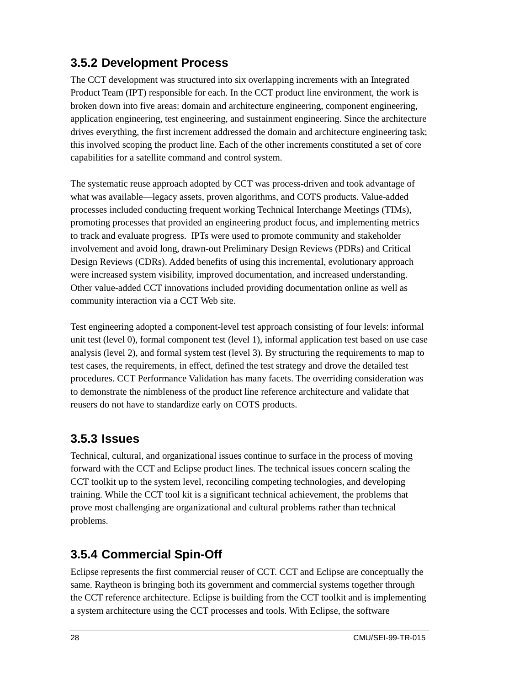### **3.5.2 Development Process**

The CCT development was structured into six overlapping increments with an Integrated Product Team (IPT) responsible for each. In the CCT product line environment, the work is broken down into five areas: domain and architecture engineering, component engineering, application engineering, test engineering, and sustainment engineering. Since the architecture drives everything, the first increment addressed the domain and architecture engineering task; this involved scoping the product line. Each of the other increments constituted a set of core capabilities for a satellite command and control system.

The systematic reuse approach adopted by CCT was process-driven and took advantage of what was available—legacy assets, proven algorithms, and COTS products. Value-added processes included conducting frequent working Technical Interchange Meetings (TIMs), promoting processes that provided an engineering product focus, and implementing metrics to track and evaluate progress. IPTs were used to promote community and stakeholder involvement and avoid long, drawn-out Preliminary Design Reviews (PDRs) and Critical Design Reviews (CDRs). Added benefits of using this incremental, evolutionary approach were increased system visibility, improved documentation, and increased understanding. Other value-added CCT innovations included providing documentation online as well as community interaction via a CCT Web site.

Test engineering adopted a component-level test approach consisting of four levels: informal unit test (level 0), formal component test (level 1), informal application test based on use case analysis (level 2), and formal system test (level 3). By structuring the requirements to map to test cases, the requirements, in effect, defined the test strategy and drove the detailed test procedures. CCT Performance Validation has many facets. The overriding consideration was to demonstrate the nimbleness of the product line reference architecture and validate that reusers do not have to standardize early on COTS products.

#### **3.5.3 Issues**

Technical, cultural, and organizational issues continue to surface in the process of moving forward with the CCT and Eclipse product lines. The technical issues concern scaling the CCT toolkit up to the system level, reconciling competing technologies, and developing training. While the CCT tool kit is a significant technical achievement, the problems that prove most challenging are organizational and cultural problems rather than technical problems.

# **3.5.4 Commercial Spin-Off**

Eclipse represents the first commercial reuser of CCT. CCT and Eclipse are conceptually the same. Raytheon is bringing both its government and commercial systems together through the CCT reference architecture. Eclipse is building from the CCT toolkit and is implementing a system architecture using the CCT processes and tools. With Eclipse, the software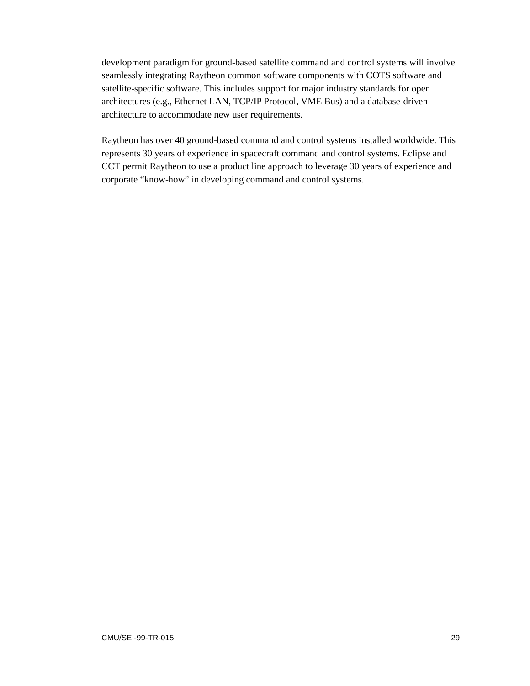development paradigm for ground-based satellite command and control systems will involve seamlessly integrating Raytheon common software components with COTS software and satellite-specific software. This includes support for major industry standards for open architectures (e.g., Ethernet LAN, TCP/IP Protocol, VME Bus) and a database-driven architecture to accommodate new user requirements.

Raytheon has over 40 ground-based command and control systems installed worldwide. This represents 30 years of experience in spacecraft command and control systems. Eclipse and CCT permit Raytheon to use a product line approach to leverage 30 years of experience and corporate "know-how" in developing command and control systems.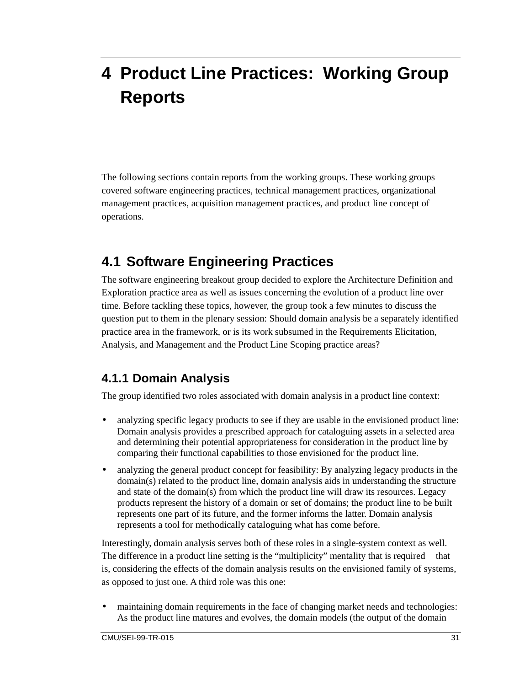# **4 Product Line Practices: Working Group Reports**

The following sections contain reports from the working groups. These working groups covered software engineering practices, technical management practices, organizational management practices, acquisition management practices, and product line concept of operations.

# **4.1 Software Engineering Practices**

The software engineering breakout group decided to explore the Architecture Definition and Exploration practice area as well as issues concerning the evolution of a product line over time. Before tackling these topics, however, the group took a few minutes to discuss the question put to them in the plenary session: Should domain analysis be a separately identified practice area in the framework, or is its work subsumed in the Requirements Elicitation, Analysis, and Management and the Product Line Scoping practice areas?

# **4.1.1 Domain Analysis**

The group identified two roles associated with domain analysis in a product line context:

- analyzing specific legacy products to see if they are usable in the envisioned product line: Domain analysis provides a prescribed approach for cataloguing assets in a selected area and determining their potential appropriateness for consideration in the product line by comparing their functional capabilities to those envisioned for the product line.
- analyzing the general product concept for feasibility: By analyzing legacy products in the domain(s) related to the product line, domain analysis aids in understanding the structure and state of the domain(s) from which the product line will draw its resources. Legacy products represent the history of a domain or set of domains; the product line to be built represents one part of its future, and the former informs the latter. Domain analysis represents a tool for methodically cataloguing what has come before.

Interestingly, domain analysis serves both of these roles in a single-system context as well. The difference in a product line setting is the "multiplicity" mentality that is required—that is, considering the effects of the domain analysis results on the envisioned family of systems, as opposed to just one. A third role was this one:

• maintaining domain requirements in the face of changing market needs and technologies: As the product line matures and evolves, the domain models (the output of the domain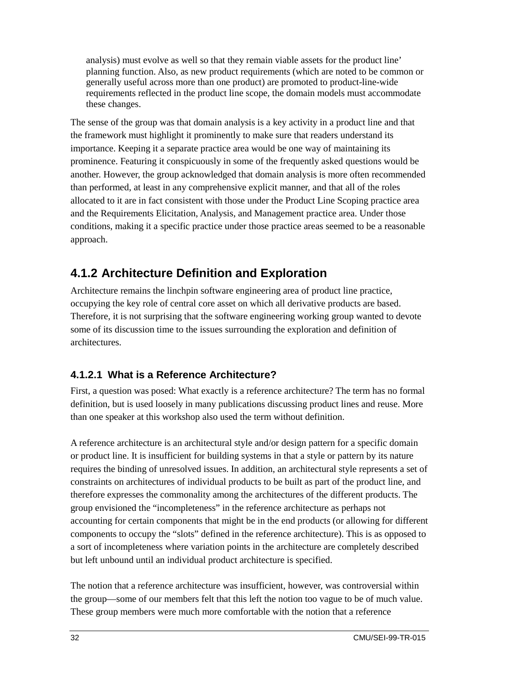analysis) must evolve as well so that they remain viable assets for the product line' planning function. Also, as new product requirements (which are noted to be common or generally useful across more than one product) are promoted to product-line-wide requirements reflected in the product line scope, the domain models must accommodate these changes.

The sense of the group was that domain analysis is a key activity in a product line and that the framework must highlight it prominently to make sure that readers understand its importance. Keeping it a separate practice area would be one way of maintaining its prominence. Featuring it conspicuously in some of the frequently asked questions would be another. However, the group acknowledged that domain analysis is more often recommended than performed, at least in any comprehensive explicit manner, and that all of the roles allocated to it are in fact consistent with those under the Product Line Scoping practice area and the Requirements Elicitation, Analysis, and Management practice area. Under those conditions, making it a specific practice under those practice areas seemed to be a reasonable approach.

# **4.1.2 Architecture Definition and Exploration**

Architecture remains the linchpin software engineering area of product line practice, occupying the key role of central core asset on which all derivative products are based. Therefore, it is not surprising that the software engineering working group wanted to devote some of its discussion time to the issues surrounding the exploration and definition of architectures.

#### **4.1.2.1 What is a Reference Architecture?**

First, a question was posed: What exactly is a reference architecture? The term has no formal definition, but is used loosely in many publications discussing product lines and reuse. More than one speaker at this workshop also used the term without definition.

A reference architecture is an architectural style and/or design pattern for a specific domain or product line. It is insufficient for building systems in that a style or pattern by its nature requires the binding of unresolved issues. In addition, an architectural style represents a set of constraints on architectures of individual products to be built as part of the product line, and therefore expresses the commonality among the architectures of the different products. The group envisioned the "incompleteness" in the reference architecture as perhaps not accounting for certain components that might be in the end products (or allowing for different components to occupy the "slots" defined in the reference architecture). This is as opposed to a sort of incompleteness where variation points in the architecture are completely described but left unbound until an individual product architecture is specified.

The notion that a reference architecture was insufficient, however, was controversial within the group—some of our members felt that this left the notion too vague to be of much value. These group members were much more comfortable with the notion that a reference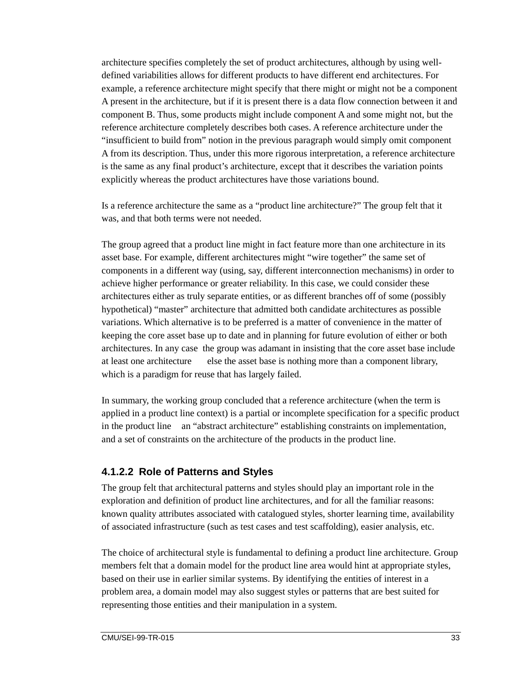architecture specifies completely the set of product architectures, although by using welldefined variabilities allows for different products to have different end architectures. For example, a reference architecture might specify that there might or might not be a component A present in the architecture, but if it is present there is a data flow connection between it and component B. Thus, some products might include component A and some might not, but the reference architecture completely describes both cases. A reference architecture under the "insufficient to build from" notion in the previous paragraph would simply omit component A from its description. Thus, under this more rigorous interpretation, a reference architecture is the same as any final product's architecture, except that it describes the variation points explicitly whereas the product architectures have those variations bound.

Is a reference architecture the same as a "product line architecture?" The group felt that it was, and that both terms were not needed.

The group agreed that a product line might in fact feature more than one architecture in its asset base. For example, different architectures might "wire together" the same set of components in a different way (using, say, different interconnection mechanisms) in order to achieve higher performance or greater reliability. In this case, we could consider these architectures either as truly separate entities, or as different branches off of some (possibly hypothetical) "master" architecture that admitted both candidate architectures as possible variations. Which alternative is to be preferred is a matter of convenience in the matter of keeping the core asset base up to date and in planning for future evolution of either or both architectures. In any case the group was adamant in insisting that the core asset base include at least one architecture — else the asset base is nothing more than a component library, which is a paradigm for reuse that has largely failed.

In summary, the working group concluded that a reference architecture (when the term is applied in a product line context) is a partial or incomplete specification for a specific product in the product line—an "abstract architecture" establishing constraints on implementation, and a set of constraints on the architecture of the products in the product line.

#### **4.1.2.2 Role of Patterns and Styles**

The group felt that architectural patterns and styles should play an important role in the exploration and definition of product line architectures, and for all the familiar reasons: known quality attributes associated with catalogued styles, shorter learning time, availability of associated infrastructure (such as test cases and test scaffolding), easier analysis, etc.

The choice of architectural style is fundamental to defining a product line architecture. Group members felt that a domain model for the product line area would hint at appropriate styles, based on their use in earlier similar systems. By identifying the entities of interest in a problem area, a domain model may also suggest styles or patterns that are best suited for representing those entities and their manipulation in a system.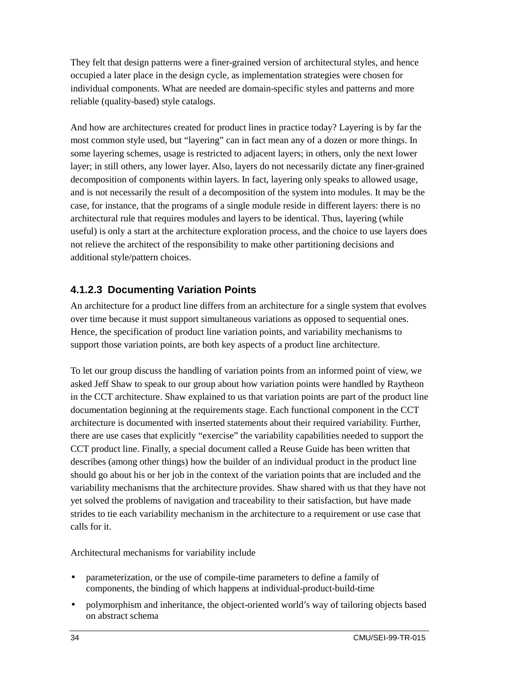They felt that design patterns were a finer-grained version of architectural styles, and hence occupied a later place in the design cycle, as implementation strategies were chosen for individual components. What are needed are domain-specific styles and patterns and more reliable (quality-based) style catalogs.

And how are architectures created for product lines in practice today? Layering is by far the most common style used, but "layering" can in fact mean any of a dozen or more things. In some layering schemes, usage is restricted to adjacent layers; in others, only the next lower layer; in still others, any lower layer. Also, layers do not necessarily dictate any finer-grained decomposition of components within layers. In fact, layering only speaks to allowed usage, and is not necessarily the result of a decomposition of the system into modules. It may be the case, for instance, that the programs of a single module reside in different layers: there is no architectural rule that requires modules and layers to be identical. Thus, layering (while useful) is only a start at the architecture exploration process, and the choice to use layers does not relieve the architect of the responsibility to make other partitioning decisions and additional style/pattern choices.

#### **4.1.2.3 Documenting Variation Points**

An architecture for a product line differs from an architecture for a single system that evolves over time because it must support simultaneous variations as opposed to sequential ones. Hence, the specification of product line variation points, and variability mechanisms to support those variation points, are both key aspects of a product line architecture.

To let our group discuss the handling of variation points from an informed point of view, we asked Jeff Shaw to speak to our group about how variation points were handled by Raytheon in the CCT architecture. Shaw explained to us that variation points are part of the product line documentation beginning at the requirements stage. Each functional component in the CCT architecture is documented with inserted statements about their required variability. Further, there are use cases that explicitly "exercise" the variability capabilities needed to support the CCT product line. Finally, a special document called a Reuse Guide has been written that describes (among other things) how the builder of an individual product in the product line should go about his or her job in the context of the variation points that are included and the variability mechanisms that the architecture provides. Shaw shared with us that they have not yet solved the problems of navigation and traceability to their satisfaction, but have made strides to tie each variability mechanism in the architecture to a requirement or use case that calls for it.

Architectural mechanisms for variability include

- parameterization, or the use of compile-time parameters to define a family of components, the binding of which happens at individual-product-build-time
- polymorphism and inheritance, the object-oriented world's way of tailoring objects based on abstract schema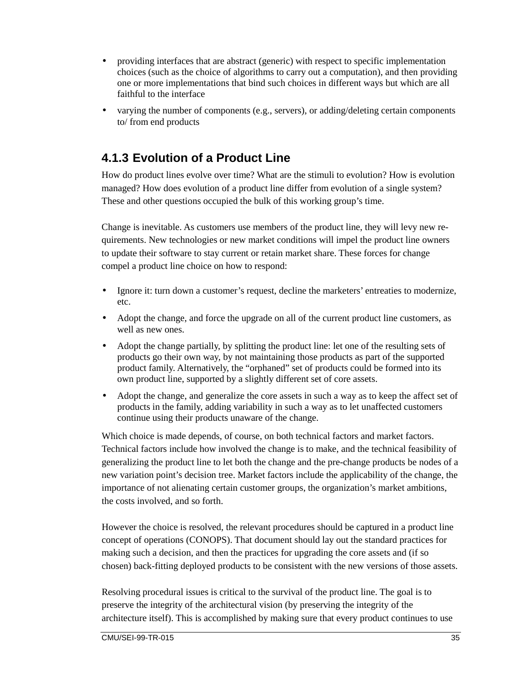- providing interfaces that are abstract (generic) with respect to specific implementation choices (such as the choice of algorithms to carry out a computation), and then providing one or more implementations that bind such choices in different ways but which are all faithful to the interface
- varying the number of components (e.g., servers), or adding/deleting certain components to/ from end products

# **4.1.3 Evolution of a Product Line**

How do product lines evolve over time? What are the stimuli to evolution? How is evolution managed? How does evolution of a product line differ from evolution of a single system? These and other questions occupied the bulk of this working group's time.

Change is inevitable. As customers use members of the product line, they will levy new requirements. New technologies or new market conditions will impel the product line owners to update their software to stay current or retain market share. These forces for change compel a product line choice on how to respond:

- Ignore it: turn down a customer's request, decline the marketers' entreaties to modernize, etc.
- Adopt the change, and force the upgrade on all of the current product line customers, as well as new ones.
- Adopt the change partially, by splitting the product line: let one of the resulting sets of products go their own way, by not maintaining those products as part of the supported product family. Alternatively, the "orphaned" set of products could be formed into its own product line, supported by a slightly different set of core assets.
- Adopt the change, and generalize the core assets in such a way as to keep the affect set of products in the family, adding variability in such a way as to let unaffected customers continue using their products unaware of the change.

Which choice is made depends, of course, on both technical factors and market factors. Technical factors include how involved the change is to make, and the technical feasibility of generalizing the product line to let both the change and the pre-change products be nodes of a new variation point's decision tree. Market factors include the applicability of the change, the importance of not alienating certain customer groups, the organization's market ambitions, the costs involved, and so forth.

However the choice is resolved, the relevant procedures should be captured in a product line concept of operations (CONOPS). That document should lay out the standard practices for making such a decision, and then the practices for upgrading the core assets and (if so chosen) back-fitting deployed products to be consistent with the new versions of those assets.

Resolving procedural issues is critical to the survival of the product line. The goal is to preserve the integrity of the architectural vision (by preserving the integrity of the architecture itself). This is accomplished by making sure that every product continues to use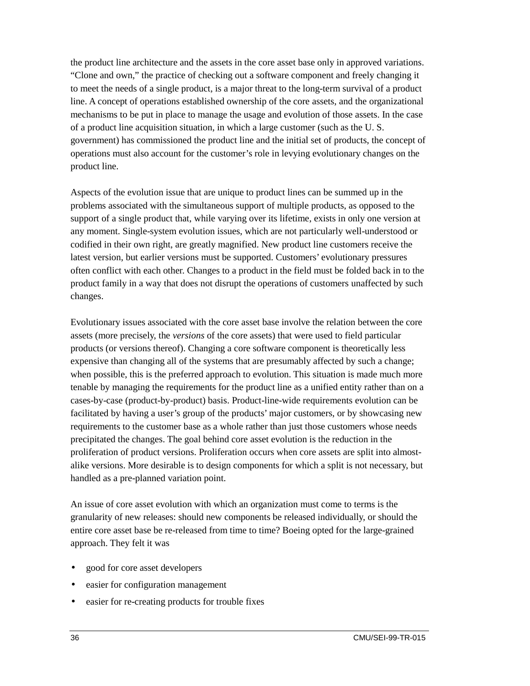the product line architecture and the assets in the core asset base only in approved variations. "Clone and own," the practice of checking out a software component and freely changing it to meet the needs of a single product, is a major threat to the long-term survival of a product line. A concept of operations established ownership of the core assets, and the organizational mechanisms to be put in place to manage the usage and evolution of those assets. In the case of a product line acquisition situation, in which a large customer (such as the U. S. government) has commissioned the product line and the initial set of products, the concept of operations must also account for the customer's role in levying evolutionary changes on the product line.

Aspects of the evolution issue that are unique to product lines can be summed up in the problems associated with the simultaneous support of multiple products, as opposed to the support of a single product that, while varying over its lifetime, exists in only one version at any moment. Single-system evolution issues, which are not particularly well-understood or codified in their own right, are greatly magnified. New product line customers receive the latest version, but earlier versions must be supported. Customers' evolutionary pressures often conflict with each other. Changes to a product in the field must be folded back in to the product family in a way that does not disrupt the operations of customers unaffected by such changes.

Evolutionary issues associated with the core asset base involve the relation between the core assets (more precisely, the *versions* of the core assets) that were used to field particular products (or versions thereof). Changing a core software component is theoretically less expensive than changing all of the systems that are presumably affected by such a change; when possible, this is the preferred approach to evolution. This situation is made much more tenable by managing the requirements for the product line as a unified entity rather than on a cases-by-case (product-by-product) basis. Product-line-wide requirements evolution can be facilitated by having a user's group of the products' major customers, or by showcasing new requirements to the customer base as a whole rather than just those customers whose needs precipitated the changes. The goal behind core asset evolution is the reduction in the proliferation of product versions. Proliferation occurs when core assets are split into almostalike versions. More desirable is to design components for which a split is not necessary, but handled as a pre-planned variation point.

An issue of core asset evolution with which an organization must come to terms is the granularity of new releases: should new components be released individually, or should the entire core asset base be re-released from time to time? Boeing opted for the large-grained approach. They felt it was

- good for core asset developers
- easier for configuration management
- easier for re-creating products for trouble fixes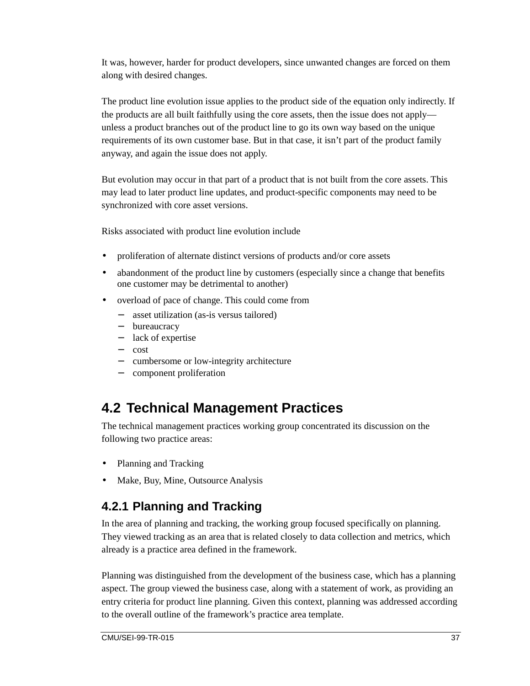It was, however, harder for product developers, since unwanted changes are forced on them along with desired changes.

The product line evolution issue applies to the product side of the equation only indirectly. If the products are all built faithfully using the core assets, then the issue does not apply unless a product branches out of the product line to go its own way based on the unique requirements of its own customer base. But in that case, it isn't part of the product family anyway, and again the issue does not apply.

But evolution may occur in that part of a product that is not built from the core assets. This may lead to later product line updates, and product-specific components may need to be synchronized with core asset versions.

Risks associated with product line evolution include

- proliferation of alternate distinct versions of products and/or core assets
- abandonment of the product line by customers (especially since a change that benefits one customer may be detrimental to another)
- overload of pace of change. This could come from
	- − asset utilization (as-is versus tailored)
	- − bureaucracy
	- − lack of expertise
	- − cost
	- − cumbersome or low-integrity architecture
	- − component proliferation

# **4.2 Technical Management Practices**

The technical management practices working group concentrated its discussion on the following two practice areas:

- Planning and Tracking
- Make, Buy, Mine, Outsource Analysis

# **4.2.1 Planning and Tracking**

In the area of planning and tracking, the working group focused specifically on planning. They viewed tracking as an area that is related closely to data collection and metrics, which already is a practice area defined in the framework.

Planning was distinguished from the development of the business case, which has a planning aspect. The group viewed the business case, along with a statement of work, as providing an entry criteria for product line planning. Given this context, planning was addressed according to the overall outline of the framework's practice area template.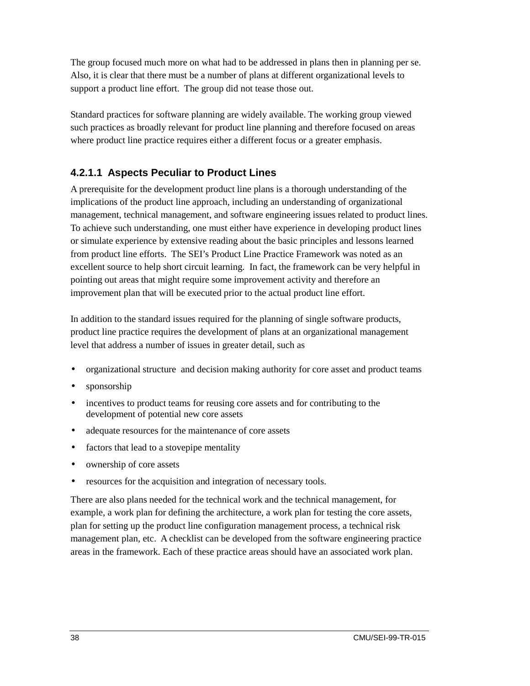The group focused much more on what had to be addressed in plans then in planning per se. Also, it is clear that there must be a number of plans at different organizational levels to support a product line effort. The group did not tease those out.

Standard practices for software planning are widely available. The working group viewed such practices as broadly relevant for product line planning and therefore focused on areas where product line practice requires either a different focus or a greater emphasis.

#### **4.2.1.1 Aspects Peculiar to Product Lines**

A prerequisite for the development product line plans is a thorough understanding of the implications of the product line approach, including an understanding of organizational management, technical management, and software engineering issues related to product lines. To achieve such understanding, one must either have experience in developing product lines or simulate experience by extensive reading about the basic principles and lessons learned from product line efforts. The SEI's Product Line Practice Framework was noted as an excellent source to help short circuit learning. In fact, the framework can be very helpful in pointing out areas that might require some improvement activity and therefore an improvement plan that will be executed prior to the actual product line effort.

In addition to the standard issues required for the planning of single software products, product line practice requires the development of plans at an organizational management level that address a number of issues in greater detail, such as

- organizational structure and decision making authority for core asset and product teams
- sponsorship
- incentives to product teams for reusing core assets and for contributing to the development of potential new core assets
- adequate resources for the maintenance of core assets
- factors that lead to a stovepipe mentality
- ownership of core assets
- resources for the acquisition and integration of necessary tools.

There are also plans needed for the technical work and the technical management, for example, a work plan for defining the architecture, a work plan for testing the core assets, plan for setting up the product line configuration management process, a technical risk management plan, etc. A checklist can be developed from the software engineering practice areas in the framework. Each of these practice areas should have an associated work plan.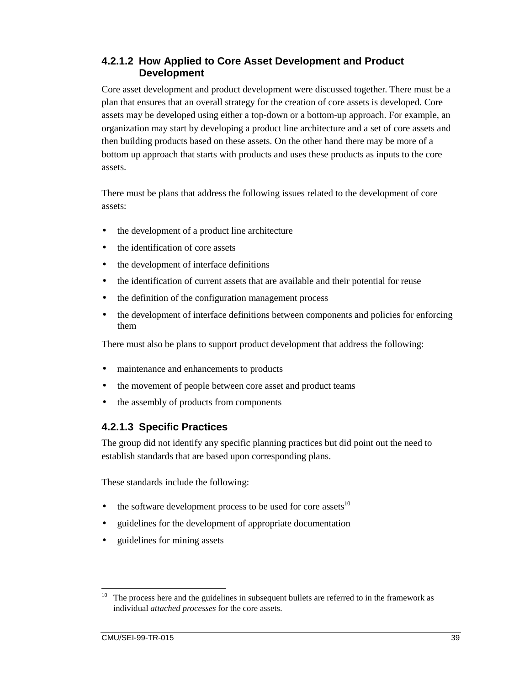#### **4.2.1.2 How Applied to Core Asset Development and Product Development**

Core asset development and product development were discussed together. There must be a plan that ensures that an overall strategy for the creation of core assets is developed. Core assets may be developed using either a top-down or a bottom-up approach. For example, an organization may start by developing a product line architecture and a set of core assets and then building products based on these assets. On the other hand there may be more of a bottom up approach that starts with products and uses these products as inputs to the core assets.

There must be plans that address the following issues related to the development of core assets:

- the development of a product line architecture
- the identification of core assets
- the development of interface definitions
- the identification of current assets that are available and their potential for reuse
- the definition of the configuration management process
- the development of interface definitions between components and policies for enforcing them

There must also be plans to support product development that address the following:

- maintenance and enhancements to products
- the movement of people between core asset and product teams
- the assembly of products from components

#### **4.2.1.3 Specific Practices**

The group did not identify any specific planning practices but did point out the need to establish standards that are based upon corresponding plans.

These standards include the following:

- the software development process to be used for core assets $^{10}$
- guidelines for the development of appropriate documentation
- guidelines for mining assets

 $10\,$ <sup>10</sup> The process here and the guidelines in subsequent bullets are referred to in the framework as individual *attached processes* for the core assets.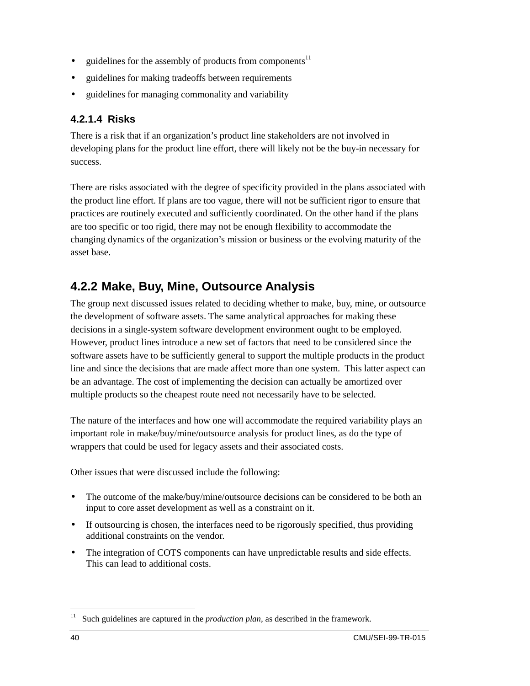- guidelines for the assembly of products from components $11$
- guidelines for making tradeoffs between requirements
- guidelines for managing commonality and variability

#### **4.2.1.4 Risks**

There is a risk that if an organization's product line stakeholders are not involved in developing plans for the product line effort, there will likely not be the buy-in necessary for success.

There are risks associated with the degree of specificity provided in the plans associated with the product line effort. If plans are too vague, there will not be sufficient rigor to ensure that practices are routinely executed and sufficiently coordinated. On the other hand if the plans are too specific or too rigid, there may not be enough flexibility to accommodate the changing dynamics of the organization's mission or business or the evolving maturity of the asset base.

## **4.2.2 Make, Buy, Mine, Outsource Analysis**

The group next discussed issues related to deciding whether to make, buy, mine, or outsource the development of software assets. The same analytical approaches for making these decisions in a single-system software development environment ought to be employed. However, product lines introduce a new set of factors that need to be considered since the software assets have to be sufficiently general to support the multiple products in the product line and since the decisions that are made affect more than one system. This latter aspect can be an advantage. The cost of implementing the decision can actually be amortized over multiple products so the cheapest route need not necessarily have to be selected.

The nature of the interfaces and how one will accommodate the required variability plays an important role in make/buy/mine/outsource analysis for product lines, as do the type of wrappers that could be used for legacy assets and their associated costs.

Other issues that were discussed include the following:

- The outcome of the make/buy/mine/outsource decisions can be considered to be both an input to core asset development as well as a constraint on it.
- If outsourcing is chosen, the interfaces need to be rigorously specified, thus providing additional constraints on the vendor.
- The integration of COTS components can have unpredictable results and side effects. This can lead to additional costs.

 $11$ Such guidelines are captured in the *production plan*, as described in the framework.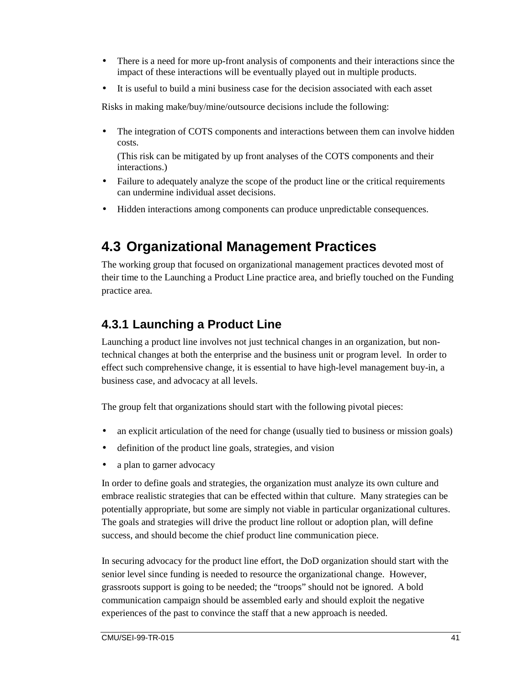- There is a need for more up-front analysis of components and their interactions since the impact of these interactions will be eventually played out in multiple products.
- It is useful to build a mini business case for the decision associated with each asset

Risks in making make/buy/mine/outsource decisions include the following:

• The integration of COTS components and interactions between them can involve hidden costs.

(This risk can be mitigated by up front analyses of the COTS components and their interactions.)

- Failure to adequately analyze the scope of the product line or the critical requirements can undermine individual asset decisions.
- Hidden interactions among components can produce unpredictable consequences.

# **4.3 Organizational Management Practices**

The working group that focused on organizational management practices devoted most of their time to the Launching a Product Line practice area, and briefly touched on the Funding practice area.

# **4.3.1 Launching a Product Line**

Launching a product line involves not just technical changes in an organization, but nontechnical changes at both the enterprise and the business unit or program level. In order to effect such comprehensive change, it is essential to have high-level management buy-in, a business case, and advocacy at all levels.

The group felt that organizations should start with the following pivotal pieces:

- an explicit articulation of the need for change (usually tied to business or mission goals)
- definition of the product line goals, strategies, and vision
- a plan to garner advocacy

In order to define goals and strategies, the organization must analyze its own culture and embrace realistic strategies that can be effected within that culture. Many strategies can be potentially appropriate, but some are simply not viable in particular organizational cultures. The goals and strategies will drive the product line rollout or adoption plan, will define success, and should become the chief product line communication piece.

In securing advocacy for the product line effort, the DoD organization should start with the senior level since funding is needed to resource the organizational change. However, grassroots support is going to be needed; the "troops" should not be ignored. A bold communication campaign should be assembled early and should exploit the negative experiences of the past to convince the staff that a new approach is needed.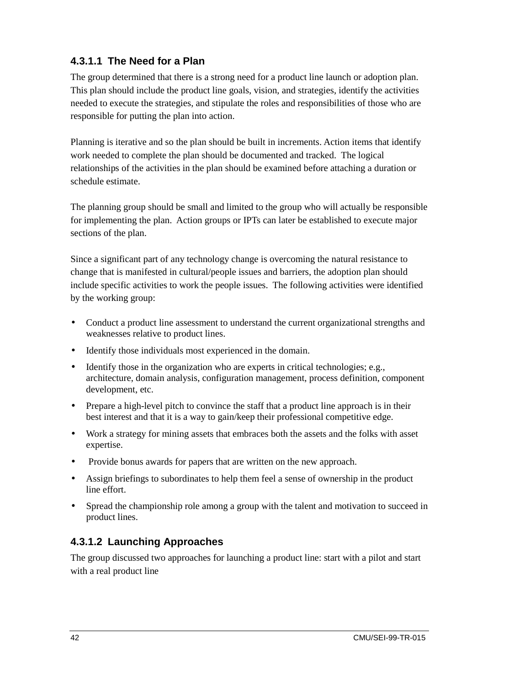#### **4.3.1.1 The Need for a Plan**

The group determined that there is a strong need for a product line launch or adoption plan. This plan should include the product line goals, vision, and strategies, identify the activities needed to execute the strategies, and stipulate the roles and responsibilities of those who are responsible for putting the plan into action.

Planning is iterative and so the plan should be built in increments. Action items that identify work needed to complete the plan should be documented and tracked. The logical relationships of the activities in the plan should be examined before attaching a duration or schedule estimate.

The planning group should be small and limited to the group who will actually be responsible for implementing the plan. Action groups or IPTs can later be established to execute major sections of the plan.

Since a significant part of any technology change is overcoming the natural resistance to change that is manifested in cultural/people issues and barriers, the adoption plan should include specific activities to work the people issues. The following activities were identified by the working group:

- Conduct a product line assessment to understand the current organizational strengths and weaknesses relative to product lines.
- Identify those individuals most experienced in the domain.
- Identify those in the organization who are experts in critical technologies; e.g., architecture, domain analysis, configuration management, process definition, component development, etc.
- Prepare a high-level pitch to convince the staff that a product line approach is in their best interest and that it is a way to gain/keep their professional competitive edge.
- Work a strategy for mining assets that embraces both the assets and the folks with asset expertise.
- Provide bonus awards for papers that are written on the new approach.
- Assign briefings to subordinates to help them feel a sense of ownership in the product line effort.
- Spread the championship role among a group with the talent and motivation to succeed in product lines.

#### **4.3.1.2 Launching Approaches**

The group discussed two approaches for launching a product line: start with a pilot and start with a real product line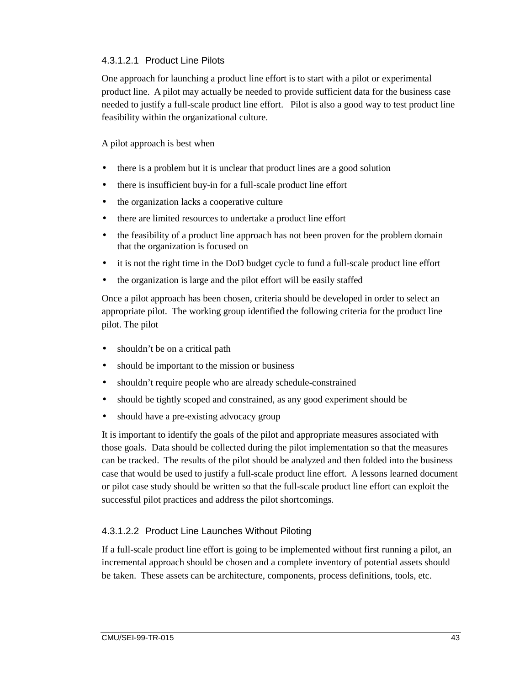#### 4.3.1.2.1 Product Line Pilots

One approach for launching a product line effort is to start with a pilot or experimental product line. A pilot may actually be needed to provide sufficient data for the business case needed to justify a full-scale product line effort. Pilot is also a good way to test product line feasibility within the organizational culture.

A pilot approach is best when

- there is a problem but it is unclear that product lines are a good solution
- there is insufficient buy-in for a full-scale product line effort
- the organization lacks a cooperative culture
- there are limited resources to undertake a product line effort
- the feasibility of a product line approach has not been proven for the problem domain that the organization is focused on
- it is not the right time in the DoD budget cycle to fund a full-scale product line effort
- the organization is large and the pilot effort will be easily staffed

Once a pilot approach has been chosen, criteria should be developed in order to select an appropriate pilot. The working group identified the following criteria for the product line pilot. The pilot

- shouldn't be on a critical path
- should be important to the mission or business
- shouldn't require people who are already schedule-constrained
- should be tightly scoped and constrained, as any good experiment should be
- should have a pre-existing advocacy group

It is important to identify the goals of the pilot and appropriate measures associated with those goals. Data should be collected during the pilot implementation so that the measures can be tracked. The results of the pilot should be analyzed and then folded into the business case that would be used to justify a full-scale product line effort. A lessons learned document or pilot case study should be written so that the full-scale product line effort can exploit the successful pilot practices and address the pilot shortcomings.

#### 4.3.1.2.2 Product Line Launches Without Piloting

If a full-scale product line effort is going to be implemented without first running a pilot, an incremental approach should be chosen and a complete inventory of potential assets should be taken. These assets can be architecture, components, process definitions, tools, etc.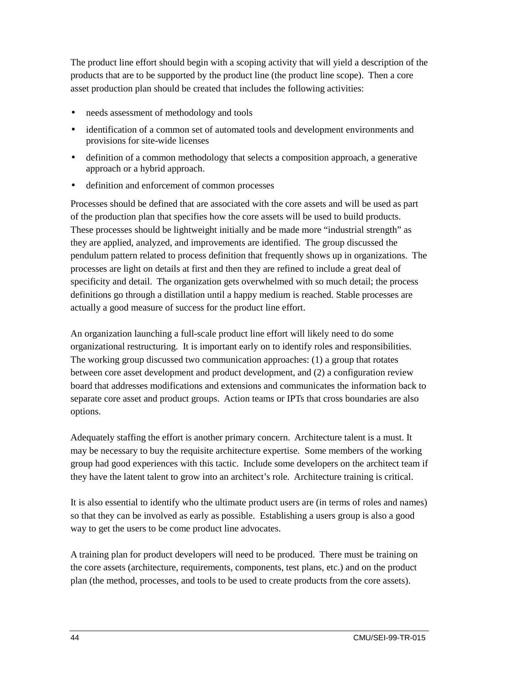The product line effort should begin with a scoping activity that will yield a description of the products that are to be supported by the product line (the product line scope). Then a core asset production plan should be created that includes the following activities:

- needs assessment of methodology and tools
- identification of a common set of automated tools and development environments and provisions for site-wide licenses
- definition of a common methodology that selects a composition approach, a generative approach or a hybrid approach.
- definition and enforcement of common processes

Processes should be defined that are associated with the core assets and will be used as part of the production plan that specifies how the core assets will be used to build products. These processes should be lightweight initially and be made more "industrial strength" as they are applied, analyzed, and improvements are identified. The group discussed the pendulum pattern related to process definition that frequently shows up in organizations. The processes are light on details at first and then they are refined to include a great deal of specificity and detail. The organization gets overwhelmed with so much detail; the process definitions go through a distillation until a happy medium is reached. Stable processes are actually a good measure of success for the product line effort.

An organization launching a full-scale product line effort will likely need to do some organizational restructuring. It is important early on to identify roles and responsibilities. The working group discussed two communication approaches: (1) a group that rotates between core asset development and product development, and (2) a configuration review board that addresses modifications and extensions and communicates the information back to separate core asset and product groups. Action teams or IPTs that cross boundaries are also options.

Adequately staffing the effort is another primary concern. Architecture talent is a must. It may be necessary to buy the requisite architecture expertise. Some members of the working group had good experiences with this tactic. Include some developers on the architect team if they have the latent talent to grow into an architect's role. Architecture training is critical.

It is also essential to identify who the ultimate product users are (in terms of roles and names) so that they can be involved as early as possible. Establishing a users group is also a good way to get the users to be come product line advocates.

A training plan for product developers will need to be produced. There must be training on the core assets (architecture, requirements, components, test plans, etc.) and on the product plan (the method, processes, and tools to be used to create products from the core assets).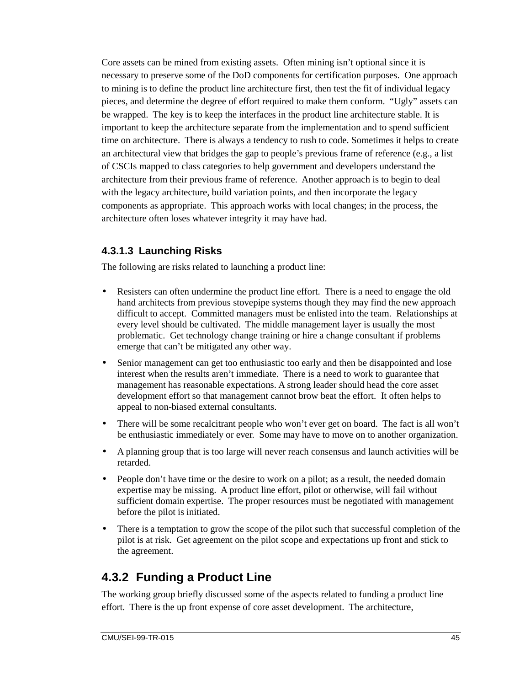Core assets can be mined from existing assets. Often mining isn't optional since it is necessary to preserve some of the DoD components for certification purposes. One approach to mining is to define the product line architecture first, then test the fit of individual legacy pieces, and determine the degree of effort required to make them conform. "Ugly" assets can be wrapped. The key is to keep the interfaces in the product line architecture stable. It is important to keep the architecture separate from the implementation and to spend sufficient time on architecture. There is always a tendency to rush to code. Sometimes it helps to create an architectural view that bridges the gap to people's previous frame of reference (e.g., a list of CSCIs mapped to class categories to help government and developers understand the architecture from their previous frame of reference. Another approach is to begin to deal with the legacy architecture, build variation points, and then incorporate the legacy components as appropriate. This approach works with local changes; in the process, the architecture often loses whatever integrity it may have had.

#### **4.3.1.3 Launching Risks**

The following are risks related to launching a product line:

- Resisters can often undermine the product line effort. There is a need to engage the old hand architects from previous stovepipe systems though they may find the new approach difficult to accept. Committed managers must be enlisted into the team. Relationships at every level should be cultivated. The middle management layer is usually the most problematic. Get technology change training or hire a change consultant if problems emerge that can't be mitigated any other way.
- Senior management can get too enthusiastic too early and then be disappointed and lose interest when the results aren't immediate. There is a need to work to guarantee that management has reasonable expectations. A strong leader should head the core asset development effort so that management cannot brow beat the effort. It often helps to appeal to non-biased external consultants.
- There will be some recalcitrant people who won't ever get on board. The fact is all won't be enthusiastic immediately or ever. Some may have to move on to another organization.
- A planning group that is too large will never reach consensus and launch activities will be retarded.
- People don't have time or the desire to work on a pilot; as a result, the needed domain expertise may be missing. A product line effort, pilot or otherwise, will fail without sufficient domain expertise. The proper resources must be negotiated with management before the pilot is initiated.
- There is a temptation to grow the scope of the pilot such that successful completion of the pilot is at risk. Get agreement on the pilot scope and expectations up front and stick to the agreement.

### **4.3.2 Funding a Product Line**

The working group briefly discussed some of the aspects related to funding a product line effort. There is the up front expense of core asset development. The architecture,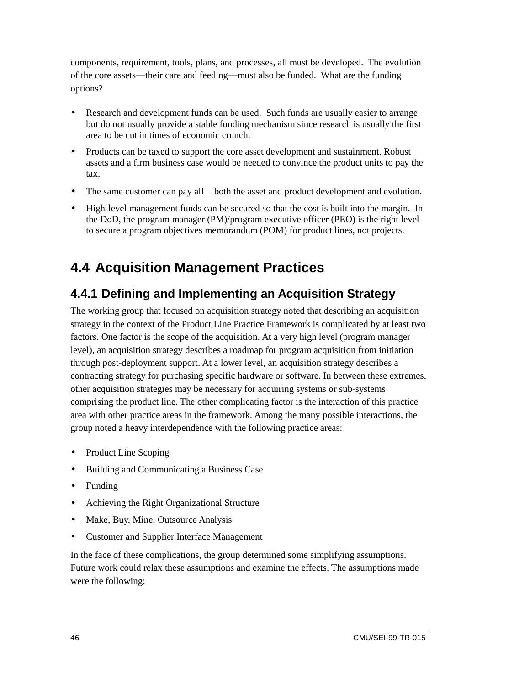components, requirement, tools, plans, and processes, all must be developed. The evolution of the core assets—their care and feeding—must also be funded. What are the funding options?

- Research and development funds can be used. Such funds are usually easier to arrange but do not usually provide a stable funding mechanism since research is usually the first area to be cut in times of economic crunch.
- Products can be taxed to support the core asset development and sustainment. Robust assets and a firm business case would be needed to convince the product units to pay the tax.
- The same customer can pay all—both the asset and product development and evolution.
- High-level management funds can be secured so that the cost is built into the margin. In the DoD, the program manager (PM)/program executive officer (PEO) is the right level to secure a program objectives memorandum (POM) for product lines, not projects.

# **4.4 Acquisition Management Practices**

# **4.4.1 Defining and Implementing an Acquisition Strategy**

The working group that focused on acquisition strategy noted that describing an acquisition strategy in the context of the Product Line Practice Framework is complicated by at least two factors. One factor is the scope of the acquisition. At a very high level (program manager level), an acquisition strategy describes a roadmap for program acquisition from initiation through post-deployment support. At a lower level, an acquisition strategy describes a contracting strategy for purchasing specific hardware or software. In between these extremes, other acquisition strategies may be necessary for acquiring systems or sub-systems comprising the product line. The other complicating factor is the interaction of this practice area with other practice areas in the framework. Among the many possible interactions, the group noted a heavy interdependence with the following practice areas:

- Product Line Scoping
- Building and Communicating a Business Case
- Funding
- Achieving the Right Organizational Structure
- Make, Buy, Mine, Outsource Analysis
- Customer and Supplier Interface Management

In the face of these complications, the group determined some simplifying assumptions. Future work could relax these assumptions and examine the effects. The assumptions made were the following: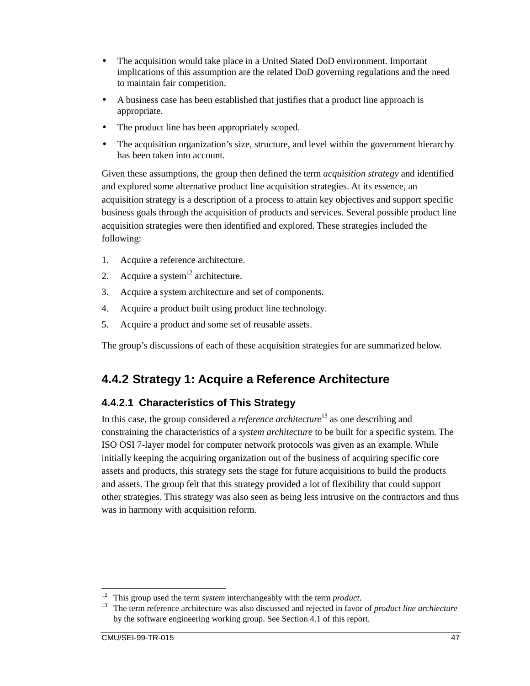- The acquisition would take place in a United Stated DoD environment. Important implications of this assumption are the related DoD governing regulations and the need to maintain fair competition.
- A business case has been established that justifies that a product line approach is appropriate.
- The product line has been appropriately scoped.
- The acquisition organization's size, structure, and level within the government hierarchy has been taken into account.

Given these assumptions, the group then defined the term *acquisition strategy* and identified and explored some alternative product line acquisition strategies. At its essence, an acquisition strategy is a description of a process to attain key objectives and support specific business goals through the acquisition of products and services. Several possible product line acquisition strategies were then identified and explored. These strategies included the following:

- 1. Acquire a reference architecture.
- 2. Acquire a system<sup>12</sup> architecture.
- 3. Acquire a system architecture and set of components.
- 4. Acquire a product built using product line technology.
- 5. Acquire a product and some set of reusable assets.

The group's discussions of each of these acquisition strategies for are summarized below.

### **4.4.2 Strategy 1: Acquire a Reference Architecture**

#### **4.4.2.1 Characteristics of This Strategy**

In this case, the group considered a *reference architecture*<sup>13</sup> as one describing and constraining the characteristics of a *system architecture* to be built for a specific system. The ISO OSI 7-layer model for computer network protocols was given as an example. While initially keeping the acquiring organization out of the business of acquiring specific core assets and products, this strategy sets the stage for future acquisitions to build the products and assets. The group felt that this strategy provided a lot of flexibility that could support other strategies. This strategy was also seen as being less intrusive on the contractors and thus was in harmony with acquisition reform.

 $12\,$ <sup>12</sup> This group used the term *system* interchangeably with the term *product*.<br><sup>13</sup> The term reference architecture was also discussed and rejected in favor

<sup>13</sup> The term reference architecture was also discussed and rejected in favor of *product line archiecture* by the software engineering working group. See Section 4.1 of this report.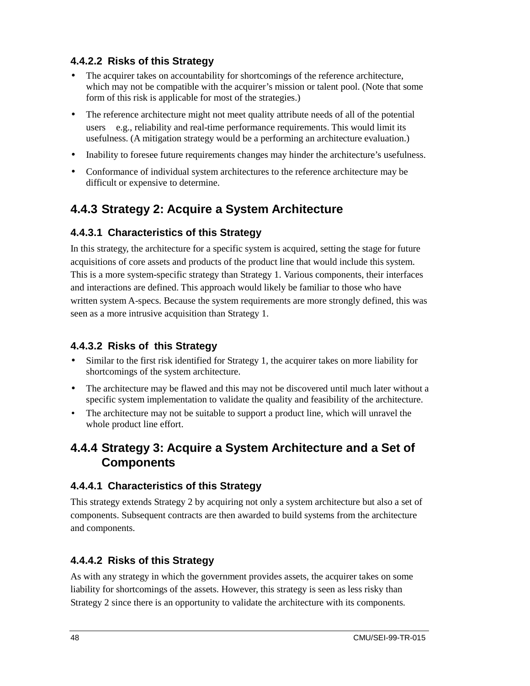#### **4.4.2.2 Risks of this Strategy**

- The acquirer takes on accountability for shortcomings of the reference architecture, which may not be compatible with the acquirer's mission or talent pool. (Note that some form of this risk is applicable for most of the strategies.)
- The reference architecture might not meet quality attribute needs of all of the potential users—e.g., reliability and real-time performance requirements. This would limit its usefulness. (A mitigation strategy would be a performing an architecture evaluation.)
- Inability to foresee future requirements changes may hinder the architecture's usefulness.
- Conformance of individual system architectures to the reference architecture may be difficult or expensive to determine.

# **4.4.3 Strategy 2: Acquire a System Architecture**

#### **4.4.3.1 Characteristics of this Strategy**

In this strategy, the architecture for a specific system is acquired, setting the stage for future acquisitions of core assets and products of the product line that would include this system. This is a more system-specific strategy than Strategy 1. Various components, their interfaces and interactions are defined. This approach would likely be familiar to those who have written system A-specs. Because the system requirements are more strongly defined, this was seen as a more intrusive acquisition than Strategy 1.

#### **4.4.3.2 Risks of this Strategy**

- Similar to the first risk identified for Strategy 1, the acquirer takes on more liability for shortcomings of the system architecture.
- The architecture may be flawed and this may not be discovered until much later without a specific system implementation to validate the quality and feasibility of the architecture.
- The architecture may not be suitable to support a product line, which will unravel the whole product line effort.

### **4.4.4 Strategy 3: Acquire a System Architecture and a Set of Components**

#### **4.4.4.1 Characteristics of this Strategy**

This strategy extends Strategy 2 by acquiring not only a system architecture but also a set of components. Subsequent contracts are then awarded to build systems from the architecture and components.

#### **4.4.4.2 Risks of this Strategy**

As with any strategy in which the government provides assets, the acquirer takes on some liability for shortcomings of the assets. However, this strategy is seen as less risky than Strategy 2 since there is an opportunity to validate the architecture with its components.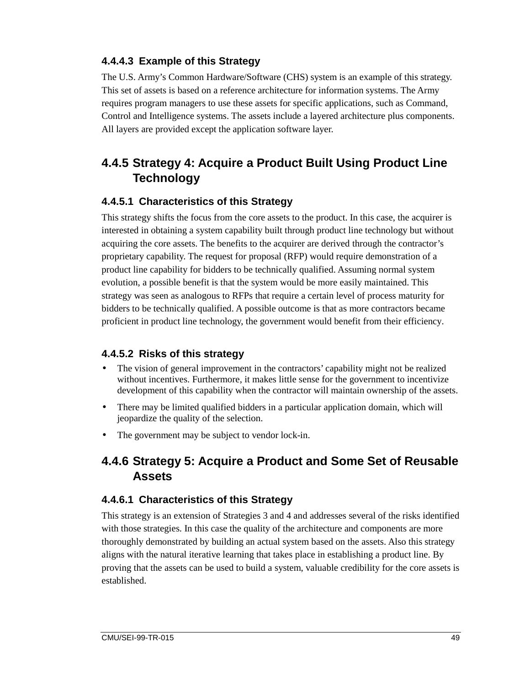#### **4.4.4.3 Example of this Strategy**

The U.S. Army's Common Hardware/Software (CHS) system is an example of this strategy. This set of assets is based on a reference architecture for information systems. The Army requires program managers to use these assets for specific applications, such as Command, Control and Intelligence systems. The assets include a layered architecture plus components. All layers are provided except the application software layer.

# **4.4.5 Strategy 4: Acquire a Product Built Using Product Line Technology**

#### **4.4.5.1 Characteristics of this Strategy**

This strategy shifts the focus from the core assets to the product. In this case, the acquirer is interested in obtaining a system capability built through product line technology but without acquiring the core assets. The benefits to the acquirer are derived through the contractor's proprietary capability. The request for proposal (RFP) would require demonstration of a product line capability for bidders to be technically qualified. Assuming normal system evolution, a possible benefit is that the system would be more easily maintained. This strategy was seen as analogous to RFPs that require a certain level of process maturity for bidders to be technically qualified. A possible outcome is that as more contractors became proficient in product line technology, the government would benefit from their efficiency.

#### **4.4.5.2 Risks of this strategy**

- The vision of general improvement in the contractors' capability might not be realized without incentives. Furthermore, it makes little sense for the government to incentivize development of this capability when the contractor will maintain ownership of the assets.
- There may be limited qualified bidders in a particular application domain, which will jeopardize the quality of the selection.
- The government may be subject to vendor lock-in.

### **4.4.6 Strategy 5: Acquire a Product and Some Set of Reusable Assets**

#### **4.4.6.1 Characteristics of this Strategy**

This strategy is an extension of Strategies 3 and 4 and addresses several of the risks identified with those strategies. In this case the quality of the architecture and components are more thoroughly demonstrated by building an actual system based on the assets. Also this strategy aligns with the natural iterative learning that takes place in establishing a product line. By proving that the assets can be used to build a system, valuable credibility for the core assets is established.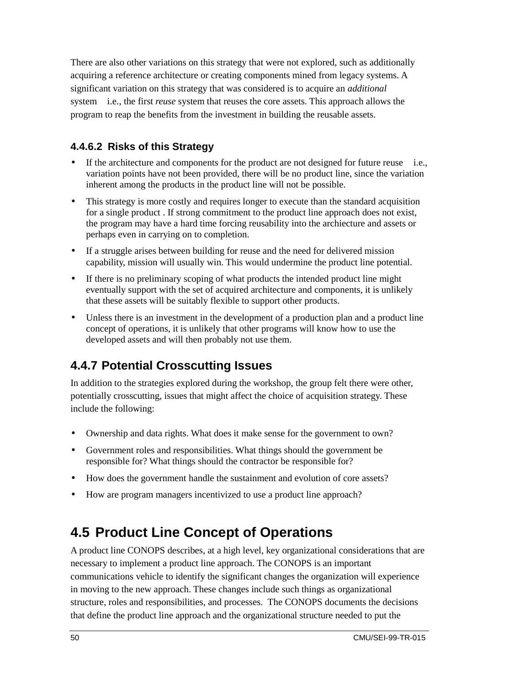There are also other variations on this strategy that were not explored, such as additionally acquiring a reference architecture or creating components mined from legacy systems. A significant variation on this strategy that was considered is to acquire an *additional* system—i.e., the first *reuse* system that reuses the core assets. This approach allows the program to reap the benefits from the investment in building the reusable assets.

#### **4.4.6.2 Risks of this Strategy**

- If the architecture and components for the product are not designed for future reuse—i.e., variation points have not been provided, there will be no product line, since the variation inherent among the products in the product line will not be possible.
- This strategy is more costly and requires longer to execute than the standard acquisition for a single product . If strong commitment to the product line approach does not exist, the program may have a hard time forcing reusability into the archiecture and assets or perhaps even in carrying on to completion.
- If a struggle arises between building for reuse and the need for delivered mission capability, mission will usually win. This would undermine the product line potential.
- If there is no preliminary scoping of what products the intended product line might eventually support with the set of acquired architecture and components, it is unlikely that these assets will be suitably flexible to support other products.
- Unless there is an investment in the development of a production plan and a product line concept of operations, it is unlikely that other programs will know how to use the developed assets and will then probably not use them.

# **4.4.7 Potential Crosscutting Issues**

In addition to the strategies explored during the workshop, the group felt there were other, potentially crosscutting, issues that might affect the choice of acquisition strategy. These include the following:

- Ownership and data rights. What does it make sense for the government to own?
- Government roles and responsibilities. What things should the government be responsible for? What things should the contractor be responsible for?
- How does the government handle the sustainment and evolution of core assets?
- How are program managers incentivized to use a product line approach?

# **4.5 Product Line Concept of Operations**

A product line CONOPS describes, at a high level, key organizational considerations that are necessary to implement a product line approach. The CONOPS is an important communications vehicle to identify the significant changes the organization will experience in moving to the new approach. These changes include such things as organizational structure, roles and responsibilities, and processes. The CONOPS documents the decisions that define the product line approach and the organizational structure needed to put the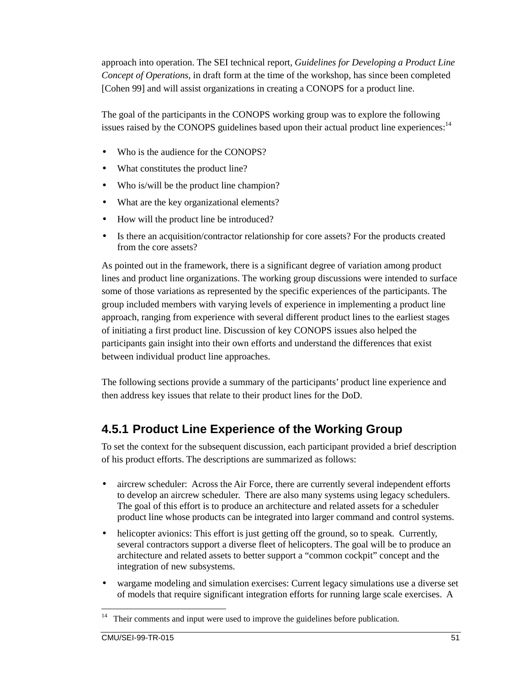approach into operation. The SEI technical report, *Guidelines for Developing a Product Line Concept of Operations,* in draft form at the time of the workshop, has since been completed [Cohen 99] and will assist organizations in creating a CONOPS for a product line.

The goal of the participants in the CONOPS working group was to explore the following issues raised by the CONOPS guidelines based upon their actual product line experiences:<sup>14</sup>

- Who is the audience for the CONOPS?
- What constitutes the product line?
- Who is/will be the product line champion?
- What are the key organizational elements?
- How will the product line be introduced?
- Is there an acquisition/contractor relationship for core assets? For the products created from the core assets?

As pointed out in the framework, there is a significant degree of variation among product lines and product line organizations. The working group discussions were intended to surface some of those variations as represented by the specific experiences of the participants. The group included members with varying levels of experience in implementing a product line approach, ranging from experience with several different product lines to the earliest stages of initiating a first product line. Discussion of key CONOPS issues also helped the participants gain insight into their own efforts and understand the differences that exist between individual product line approaches.

The following sections provide a summary of the participants' product line experience and then address key issues that relate to their product lines for the DoD.

### **4.5.1 Product Line Experience of the Working Group**

To set the context for the subsequent discussion, each participant provided a brief description of his product efforts. The descriptions are summarized as follows:

- aircrew scheduler: Across the Air Force, there are currently several independent efforts to develop an aircrew scheduler. There are also many systems using legacy schedulers. The goal of this effort is to produce an architecture and related assets for a scheduler product line whose products can be integrated into larger command and control systems.
- helicopter avionics: This effort is just getting off the ground, so to speak. Currently, several contractors support a diverse fleet of helicopters. The goal will be to produce an architecture and related assets to better support a "common cockpit" concept and the integration of new subsystems.
- wargame modeling and simulation exercises: Current legacy simulations use a diverse set of models that require significant integration efforts for running large scale exercises. A

 $\overline{a}$ 

 $14$  Their comments and input were used to improve the guidelines before publication.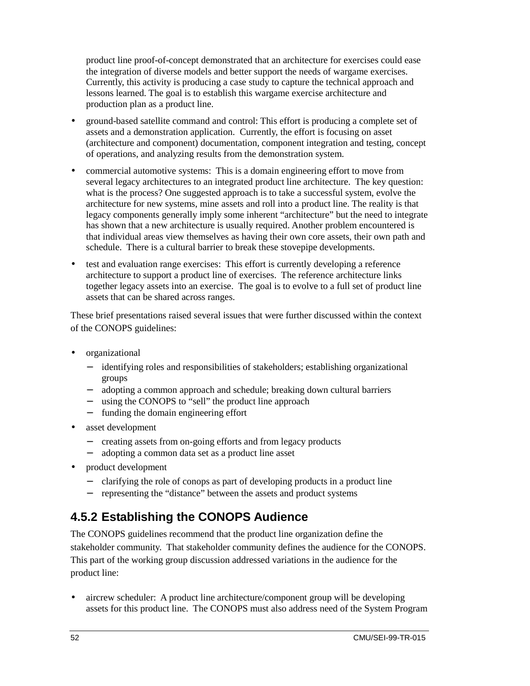product line proof-of-concept demonstrated that an architecture for exercises could ease the integration of diverse models and better support the needs of wargame exercises. Currently, this activity is producing a case study to capture the technical approach and lessons learned. The goal is to establish this wargame exercise architecture and production plan as a product line.

- ground-based satellite command and control: This effort is producing a complete set of assets and a demonstration application. Currently, the effort is focusing on asset (architecture and component) documentation, component integration and testing, concept of operations, and analyzing results from the demonstration system.
- commercial automotive systems: This is a domain engineering effort to move from several legacy architectures to an integrated product line architecture. The key question: what is the process? One suggested approach is to take a successful system, evolve the architecture for new systems, mine assets and roll into a product line. The reality is that legacy components generally imply some inherent "architecture" but the need to integrate has shown that a new architecture is usually required. Another problem encountered is that individual areas view themselves as having their own core assets, their own path and schedule. There is a cultural barrier to break these stovepipe developments.
- test and evaluation range exercises: This effort is currently developing a reference architecture to support a product line of exercises. The reference architecture links together legacy assets into an exercise. The goal is to evolve to a full set of product line assets that can be shared across ranges.

These brief presentations raised several issues that were further discussed within the context of the CONOPS guidelines:

- organizational
	- − identifying roles and responsibilities of stakeholders; establishing organizational groups
	- − adopting a common approach and schedule; breaking down cultural barriers
	- − using the CONOPS to "sell" the product line approach
	- − funding the domain engineering effort
- asset development
	- − creating assets from on-going efforts and from legacy products
	- − adopting a common data set as a product line asset
- product development
	- − clarifying the role of conops as part of developing products in a product line
	- − representing the "distance" between the assets and product systems

# **4.5.2 Establishing the CONOPS Audience**

The CONOPS guidelines recommend that the product line organization define the stakeholder community. That stakeholder community defines the audience for the CONOPS. This part of the working group discussion addressed variations in the audience for the product line:

• aircrew scheduler: A product line architecture/component group will be developing assets for this product line. The CONOPS must also address need of the System Program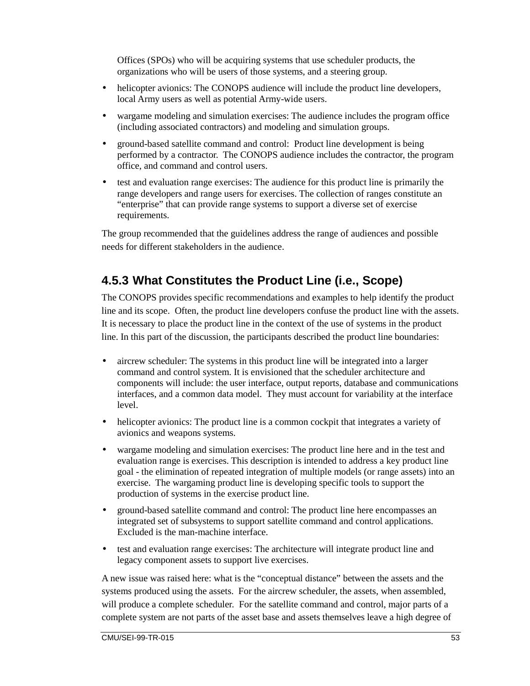Offices (SPOs) who will be acquiring systems that use scheduler products, the organizations who will be users of those systems, and a steering group.

- helicopter avionics: The CONOPS audience will include the product line developers, local Army users as well as potential Army-wide users.
- wargame modeling and simulation exercises: The audience includes the program office (including associated contractors) and modeling and simulation groups.
- ground-based satellite command and control: Product line development is being performed by a contractor. The CONOPS audience includes the contractor, the program office, and command and control users.
- test and evaluation range exercises: The audience for this product line is primarily the range developers and range users for exercises. The collection of ranges constitute an "enterprise" that can provide range systems to support a diverse set of exercise requirements.

The group recommended that the guidelines address the range of audiences and possible needs for different stakeholders in the audience.

# **4.5.3 What Constitutes the Product Line (i.e., Scope)**

The CONOPS provides specific recommendations and examples to help identify the product line and its scope. Often, the product line developers confuse the product line with the assets. It is necessary to place the product line in the context of the use of systems in the product line. In this part of the discussion, the participants described the product line boundaries:

- aircrew scheduler: The systems in this product line will be integrated into a larger command and control system. It is envisioned that the scheduler architecture and components will include: the user interface, output reports, database and communications interfaces, and a common data model. They must account for variability at the interface level.
- helicopter avionics: The product line is a common cockpit that integrates a variety of avionics and weapons systems.
- wargame modeling and simulation exercises: The product line here and in the test and evaluation range is exercises. This description is intended to address a key product line goal - the elimination of repeated integration of multiple models (or range assets) into an exercise. The wargaming product line is developing specific tools to support the production of systems in the exercise product line.
- ground-based satellite command and control: The product line here encompasses an integrated set of subsystems to support satellite command and control applications. Excluded is the man-machine interface.
- test and evaluation range exercises: The architecture will integrate product line and legacy component assets to support live exercises.

A new issue was raised here: what is the "conceptual distance" between the assets and the systems produced using the assets. For the aircrew scheduler, the assets, when assembled, will produce a complete scheduler. For the satellite command and control, major parts of a complete system are not parts of the asset base and assets themselves leave a high degree of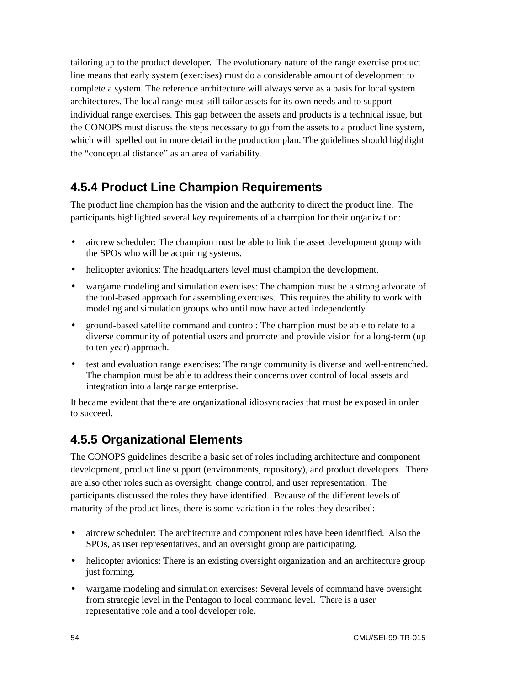tailoring up to the product developer. The evolutionary nature of the range exercise product line means that early system (exercises) must do a considerable amount of development to complete a system. The reference architecture will always serve as a basis for local system architectures. The local range must still tailor assets for its own needs and to support individual range exercises. This gap between the assets and products is a technical issue, but the CONOPS must discuss the steps necessary to go from the assets to a product line system, which will spelled out in more detail in the production plan. The guidelines should highlight the "conceptual distance" as an area of variability.

# **4.5.4 Product Line Champion Requirements**

The product line champion has the vision and the authority to direct the product line. The participants highlighted several key requirements of a champion for their organization:

- aircrew scheduler: The champion must be able to link the asset development group with the SPOs who will be acquiring systems.
- helicopter avionics: The headquarters level must champion the development.
- wargame modeling and simulation exercises: The champion must be a strong advocate of the tool-based approach for assembling exercises. This requires the ability to work with modeling and simulation groups who until now have acted independently.
- ground-based satellite command and control: The champion must be able to relate to a diverse community of potential users and promote and provide vision for a long-term (up to ten year) approach.
- test and evaluation range exercises: The range community is diverse and well-entrenched. The champion must be able to address their concerns over control of local assets and integration into a large range enterprise.

It became evident that there are organizational idiosyncracies that must be exposed in order to succeed.

# **4.5.5 Organizational Elements**

The CONOPS guidelines describe a basic set of roles including architecture and component development, product line support (environments, repository), and product developers. There are also other roles such as oversight, change control, and user representation. The participants discussed the roles they have identified. Because of the different levels of maturity of the product lines, there is some variation in the roles they described:

- aircrew scheduler: The architecture and component roles have been identified. Also the SPOs, as user representatives, and an oversight group are participating.
- helicopter avionics: There is an existing oversight organization and an architecture group just forming.
- wargame modeling and simulation exercises: Several levels of command have oversight from strategic level in the Pentagon to local command level. There is a user representative role and a tool developer role.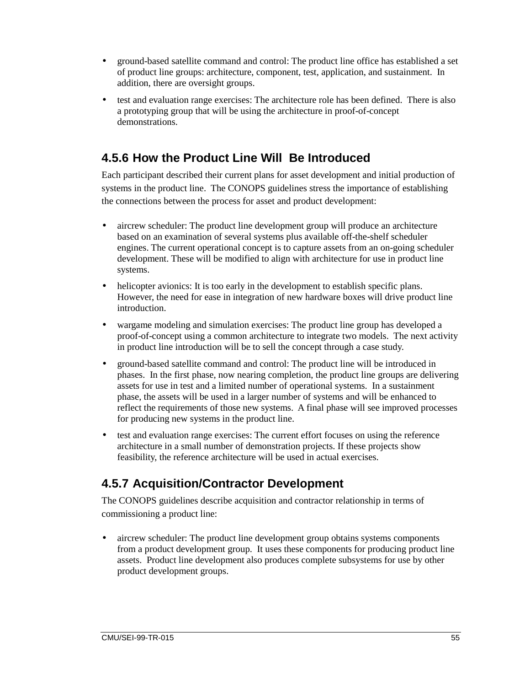- ground-based satellite command and control: The product line office has established a set of product line groups: architecture, component, test, application, and sustainment. In addition, there are oversight groups.
- test and evaluation range exercises: The architecture role has been defined. There is also a prototyping group that will be using the architecture in proof-of-concept demonstrations.

## **4.5.6 How the Product Line Will Be Introduced**

Each participant described their current plans for asset development and initial production of systems in the product line. The CONOPS guidelines stress the importance of establishing the connections between the process for asset and product development:

- aircrew scheduler: The product line development group will produce an architecture based on an examination of several systems plus available off-the-shelf scheduler engines. The current operational concept is to capture assets from an on-going scheduler development. These will be modified to align with architecture for use in product line systems.
- helicopter avionics: It is too early in the development to establish specific plans. However, the need for ease in integration of new hardware boxes will drive product line introduction.
- wargame modeling and simulation exercises: The product line group has developed a proof-of-concept using a common architecture to integrate two models. The next activity in product line introduction will be to sell the concept through a case study.
- ground-based satellite command and control: The product line will be introduced in phases. In the first phase, now nearing completion, the product line groups are delivering assets for use in test and a limited number of operational systems. In a sustainment phase, the assets will be used in a larger number of systems and will be enhanced to reflect the requirements of those new systems. A final phase will see improved processes for producing new systems in the product line.
- test and evaluation range exercises: The current effort focuses on using the reference architecture in a small number of demonstration projects. If these projects show feasibility, the reference architecture will be used in actual exercises.

# **4.5.7 Acquisition/Contractor Development**

The CONOPS guidelines describe acquisition and contractor relationship in terms of commissioning a product line:

• aircrew scheduler: The product line development group obtains systems components from a product development group. It uses these components for producing product line assets. Product line development also produces complete subsystems for use by other product development groups.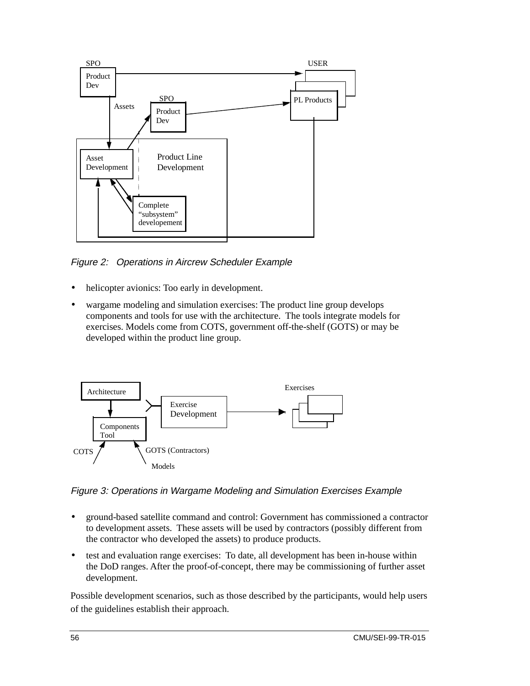

Figure 2: Operations in Aircrew Scheduler Example

- helicopter avionics: Too early in development.
- wargame modeling and simulation exercises: The product line group develops components and tools for use with the architecture. The tools integrate models for exercises. Models come from COTS, government off-the-shelf (GOTS) or may be developed within the product line group.



Figure 3: Operations in Wargame Modeling and Simulation Exercises Example

- ground-based satellite command and control: Government has commissioned a contractor to development assets. These assets will be used by contractors (possibly different from the contractor who developed the assets) to produce products.
- test and evaluation range exercises: To date, all development has been in-house within the DoD ranges. After the proof-of-concept, there may be commissioning of further asset development.

Possible development scenarios, such as those described by the participants, would help users of the guidelines establish their approach.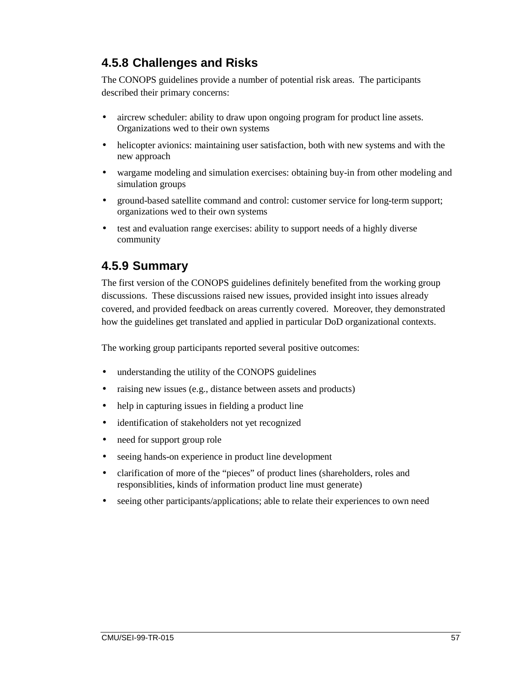## **4.5.8 Challenges and Risks**

The CONOPS guidelines provide a number of potential risk areas. The participants described their primary concerns:

- aircrew scheduler: ability to draw upon ongoing program for product line assets. Organizations wed to their own systems
- helicopter avionics: maintaining user satisfaction, both with new systems and with the new approach
- wargame modeling and simulation exercises: obtaining buy-in from other modeling and simulation groups
- ground-based satellite command and control: customer service for long-term support; organizations wed to their own systems
- test and evaluation range exercises: ability to support needs of a highly diverse community

## **4.5.9 Summary**

The first version of the CONOPS guidelines definitely benefited from the working group discussions. These discussions raised new issues, provided insight into issues already covered, and provided feedback on areas currently covered. Moreover, they demonstrated how the guidelines get translated and applied in particular DoD organizational contexts.

The working group participants reported several positive outcomes:

- understanding the utility of the CONOPS guidelines
- raising new issues (e.g., distance between assets and products)
- help in capturing issues in fielding a product line
- identification of stakeholders not yet recognized
- need for support group role
- seeing hands-on experience in product line development
- clarification of more of the "pieces" of product lines (shareholders, roles and responsiblities, kinds of information product line must generate)
- seeing other participants/applications; able to relate their experiences to own need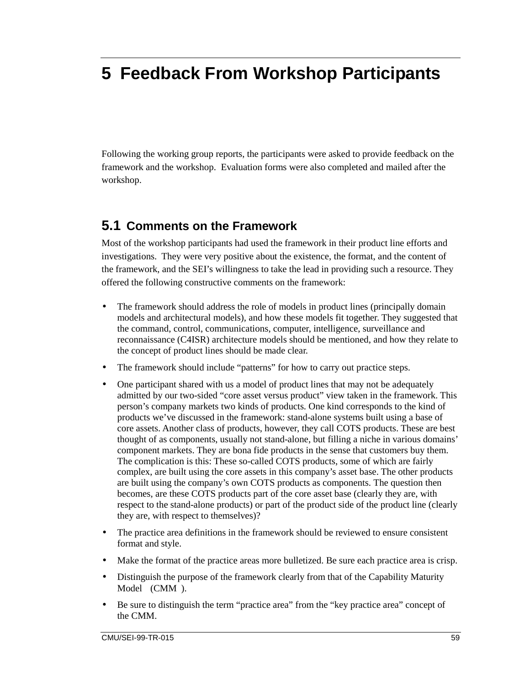# **5 Feedback From Workshop Participants**

Following the working group reports, the participants were asked to provide feedback on the framework and the workshop. Evaluation forms were also completed and mailed after the workshop.

### **5.1 Comments on the Framework**

Most of the workshop participants had used the framework in their product line efforts and investigations. They were very positive about the existence, the format, and the content of the framework, and the SEI's willingness to take the lead in providing such a resource. They offered the following constructive comments on the framework:

- The framework should address the role of models in product lines (principally domain models and architectural models), and how these models fit together. They suggested that the command, control, communications, computer, intelligence, surveillance and reconnaissance (C4ISR) architecture models should be mentioned, and how they relate to the concept of product lines should be made clear.
- The framework should include "patterns" for how to carry out practice steps.
- One participant shared with us a model of product lines that may not be adequately admitted by our two-sided "core asset versus product" view taken in the framework. This person's company markets two kinds of products. One kind corresponds to the kind of products we've discussed in the framework: stand-alone systems built using a base of core assets. Another class of products, however, they call COTS products. These are best thought of as components, usually not stand-alone, but filling a niche in various domains' component markets. They are bona fide products in the sense that customers buy them. The complication is this: These so-called COTS products, some of which are fairly complex, are built using the core assets in this company's asset base. The other products are built using the company's own COTS products as components. The question then becomes, are these COTS products part of the core asset base (clearly they are, with respect to the stand-alone products) or part of the product side of the product line (clearly they are, with respect to themselves)?
- The practice area definitions in the framework should be reviewed to ensure consistent format and style.
- Make the format of the practice areas more bulletized. Be sure each practice area is crisp.
- Distinguish the purpose of the framework clearly from that of the Capability Maturity Model  $^{\circ}$  (CMM $^{\circ}$ ).
- Be sure to distinguish the term "practice area" from the "key practice area" concept of the CMM.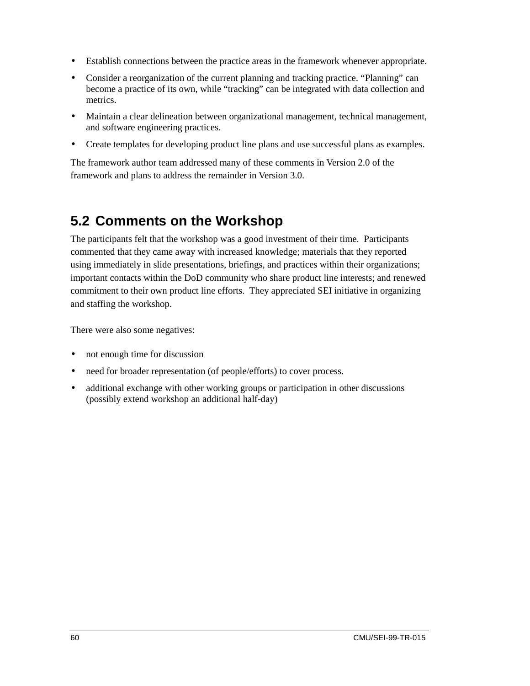- Establish connections between the practice areas in the framework whenever appropriate.
- Consider a reorganization of the current planning and tracking practice. "Planning" can become a practice of its own, while "tracking" can be integrated with data collection and metrics.
- Maintain a clear delineation between organizational management, technical management, and software engineering practices.
- Create templates for developing product line plans and use successful plans as examples.

The framework author team addressed many of these comments in Version 2.0 of the framework and plans to address the remainder in Version 3.0.

# **5.2 Comments on the Workshop**

The participants felt that the workshop was a good investment of their time. Participants commented that they came away with increased knowledge; materials that they reported using immediately in slide presentations, briefings, and practices within their organizations; important contacts within the DoD community who share product line interests; and renewed commitment to their own product line efforts. They appreciated SEI initiative in organizing and staffing the workshop.

There were also some negatives:

- not enough time for discussion
- need for broader representation (of people/efforts) to cover process.
- additional exchange with other working groups or participation in other discussions (possibly extend workshop an additional half-day)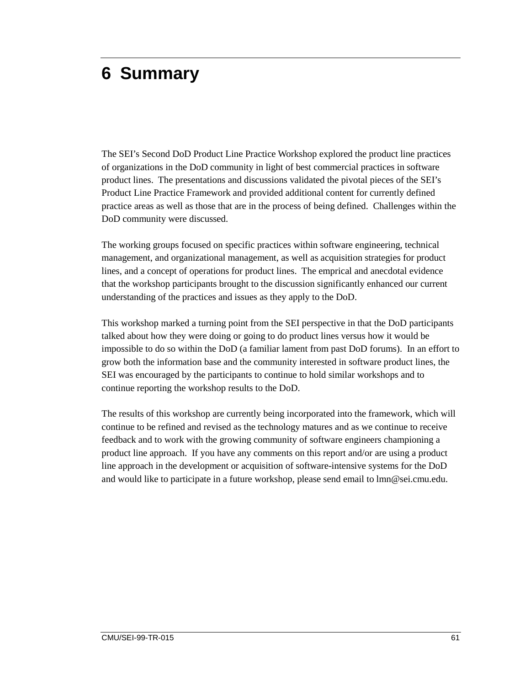## **6 Summary**

The SEI's Second DoD Product Line Practice Workshop explored the product line practices of organizations in the DoD community in light of best commercial practices in software product lines. The presentations and discussions validated the pivotal pieces of the SEI's Product Line Practice Framework and provided additional content for currently defined practice areas as well as those that are in the process of being defined. Challenges within the DoD community were discussed.

The working groups focused on specific practices within software engineering, technical management, and organizational management, as well as acquisition strategies for product lines, and a concept of operations for product lines. The emprical and anecdotal evidence that the workshop participants brought to the discussion significantly enhanced our current understanding of the practices and issues as they apply to the DoD.

This workshop marked a turning point from the SEI perspective in that the DoD participants talked about how they were doing or going to do product lines versus how it would be impossible to do so within the DoD (a familiar lament from past DoD forums). In an effort to grow both the information base and the community interested in software product lines, the SEI was encouraged by the participants to continue to hold similar workshops and to continue reporting the workshop results to the DoD.

The results of this workshop are currently being incorporated into the framework, which will continue to be refined and revised as the technology matures and as we continue to receive feedback and to work with the growing community of software engineers championing a product line approach. If you have any comments on this report and/or are using a product line approach in the development or acquisition of software-intensive systems for the DoD and would like to participate in a future workshop, please send email to lmn@sei.cmu.edu.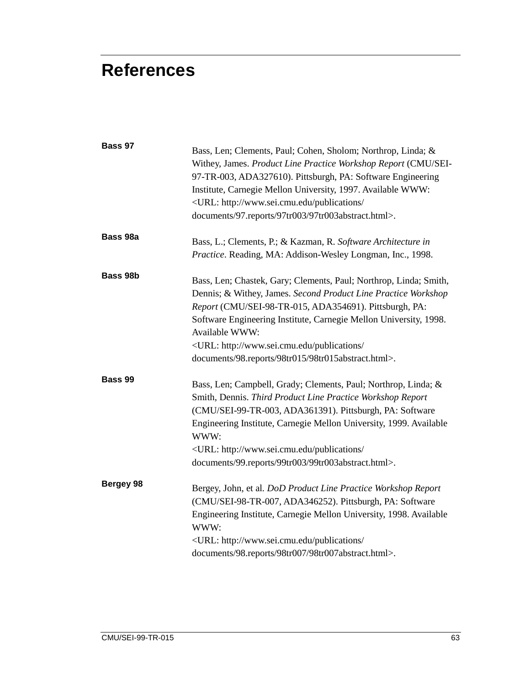## **References**

| Bass 97   | Bass, Len; Clements, Paul; Cohen, Sholom; Northrop, Linda; &<br>Withey, James. Product Line Practice Workshop Report (CMU/SEI-<br>97-TR-003, ADA327610). Pittsburgh, PA: Software Engineering<br>Institute, Carnegie Mellon University, 1997. Available WWW:<br><url: <br="" http:="" publications="" www.sei.cmu.edu="">documents/97.reports/97tr003/97tr003abstract.html&gt;.</url:>                         |
|-----------|----------------------------------------------------------------------------------------------------------------------------------------------------------------------------------------------------------------------------------------------------------------------------------------------------------------------------------------------------------------------------------------------------------------|
| Bass 98a  | Bass, L.; Clements, P.; & Kazman, R. Software Architecture in<br>Practice. Reading, MA: Addison-Wesley Longman, Inc., 1998.                                                                                                                                                                                                                                                                                    |
| Bass 98b  | Bass, Len; Chastek, Gary; Clements, Paul; Northrop, Linda; Smith,<br>Dennis; & Withey, James. Second Product Line Practice Workshop<br>Report (CMU/SEI-98-TR-015, ADA354691). Pittsburgh, PA:<br>Software Engineering Institute, Carnegie Mellon University, 1998.<br>Available WWW:<br><url: <br="" http:="" publications="" www.sei.cmu.edu="">documents/98.reports/98tr015/98tr015abstract.html&gt;.</url:> |
| Bass 99   | Bass, Len; Campbell, Grady; Clements, Paul; Northrop, Linda; &<br>Smith, Dennis. Third Product Line Practice Workshop Report<br>(CMU/SEI-99-TR-003, ADA361391). Pittsburgh, PA: Software<br>Engineering Institute, Carnegie Mellon University, 1999. Available<br>WWW:<br><url: <br="" http:="" publications="" www.sei.cmu.edu="">documents/99.reports/99tr003/99tr003abstract.html&gt;.</url:>               |
| Bergey 98 | Bergey, John, et al. DoD Product Line Practice Workshop Report<br>(CMU/SEI-98-TR-007, ADA346252). Pittsburgh, PA: Software<br>Engineering Institute, Carnegie Mellon University, 1998. Available<br>WWW:<br><url: <br="" http:="" publications="" www.sei.cmu.edu="">documents/98.reports/98tr007/98tr007abstract.html&gt;.</url:>                                                                             |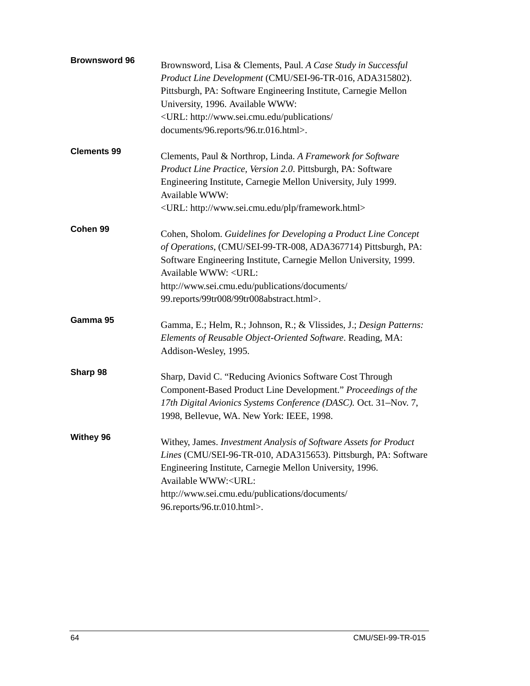| <b>Brownsword 96</b> | Brownsword, Lisa & Clements, Paul. A Case Study in Successful<br>Product Line Development (CMU/SEI-96-TR-016, ADA315802).<br>Pittsburgh, PA: Software Engineering Institute, Carnegie Mellon<br>University, 1996. Available WWW:<br><url: <br="" http:="" publications="" www.sei.cmu.edu="">documents/96.reports/96.tr.016.html&gt;.</url:> |  |  |  |  |  |
|----------------------|----------------------------------------------------------------------------------------------------------------------------------------------------------------------------------------------------------------------------------------------------------------------------------------------------------------------------------------------|--|--|--|--|--|
| <b>Clements 99</b>   | Clements, Paul & Northrop, Linda. A Framework for Software<br>Product Line Practice, Version 2.0. Pittsburgh, PA: Software<br>Engineering Institute, Carnegie Mellon University, July 1999.<br>Available WWW:<br><url: framework.html="" http:="" plp="" www.sei.cmu.edu=""></url:>                                                          |  |  |  |  |  |
| Cohen 99             | Cohen, Sholom. Guidelines for Developing a Product Line Concept<br>of Operations, (CMU/SEI-99-TR-008, ADA367714) Pittsburgh, PA:<br>Software Engineering Institute, Carnegie Mellon University, 1999.<br>Available WWW: <url:<br>http://www.sei.cmu.edu/publications/documents/<br/>99.reports/99tr008/99tr008abstract.html&gt;.</url:<br>   |  |  |  |  |  |
| Gamma 95             | Gamma, E.; Helm, R.; Johnson, R.; & Vlissides, J.; Design Patterns:<br>Elements of Reusable Object-Oriented Software. Reading, MA:<br>Addison-Wesley, 1995.                                                                                                                                                                                  |  |  |  |  |  |
| Sharp 98             | Sharp, David C. "Reducing Avionics Software Cost Through<br>Component-Based Product Line Development." Proceedings of the<br>17th Digital Avionics Systems Conference (DASC). Oct. 31-Nov. 7,<br>1998, Bellevue, WA. New York: IEEE, 1998.                                                                                                   |  |  |  |  |  |
| <b>Withey 96</b>     | Withey, James. Investment Analysis of Software Assets for Product<br>Lines (CMU/SEI-96-TR-010, ADA315653). Pittsburgh, PA: Software<br>Engineering Institute, Carnegie Mellon University, 1996.<br>Available WWW: <url:<br>http://www.sei.cmu.edu/publications/documents/<br/>96.reports/96.tr.010.html&gt;.</url:<br>                       |  |  |  |  |  |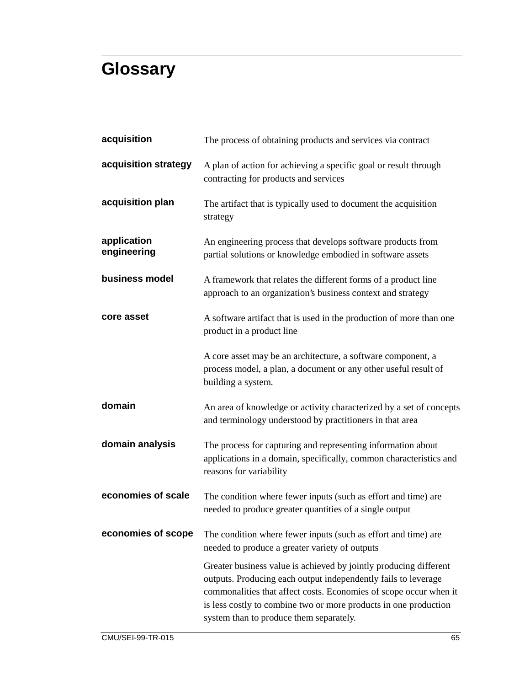## **Glossary**

| acquisition                | The process of obtaining products and services via contract                                                                                                                                                                                                                                                             |  |  |  |  |  |
|----------------------------|-------------------------------------------------------------------------------------------------------------------------------------------------------------------------------------------------------------------------------------------------------------------------------------------------------------------------|--|--|--|--|--|
| acquisition strategy       | A plan of action for achieving a specific goal or result through<br>contracting for products and services                                                                                                                                                                                                               |  |  |  |  |  |
| acquisition plan           | The artifact that is typically used to document the acquisition<br>strategy                                                                                                                                                                                                                                             |  |  |  |  |  |
| application<br>engineering | An engineering process that develops software products from<br>partial solutions or knowledge embodied in software assets                                                                                                                                                                                               |  |  |  |  |  |
| business model             | A framework that relates the different forms of a product line<br>approach to an organization's business context and strategy                                                                                                                                                                                           |  |  |  |  |  |
| core asset                 | A software artifact that is used in the production of more than one<br>product in a product line                                                                                                                                                                                                                        |  |  |  |  |  |
|                            | A core asset may be an architecture, a software component, a<br>process model, a plan, a document or any other useful result of<br>building a system.                                                                                                                                                                   |  |  |  |  |  |
| domain                     | An area of knowledge or activity characterized by a set of concepts<br>and terminology understood by practitioners in that area                                                                                                                                                                                         |  |  |  |  |  |
| domain analysis            | The process for capturing and representing information about<br>applications in a domain, specifically, common characteristics and<br>reasons for variability                                                                                                                                                           |  |  |  |  |  |
| economies of scale         | The condition where fewer inputs (such as effort and time) are<br>needed to produce greater quantities of a single output                                                                                                                                                                                               |  |  |  |  |  |
| economies of scope         | The condition where fewer inputs (such as effort and time) are<br>needed to produce a greater variety of outputs                                                                                                                                                                                                        |  |  |  |  |  |
|                            | Greater business value is achieved by jointly producing different<br>outputs. Producing each output independently fails to leverage<br>commonalities that affect costs. Economies of scope occur when it<br>is less costly to combine two or more products in one production<br>system than to produce them separately. |  |  |  |  |  |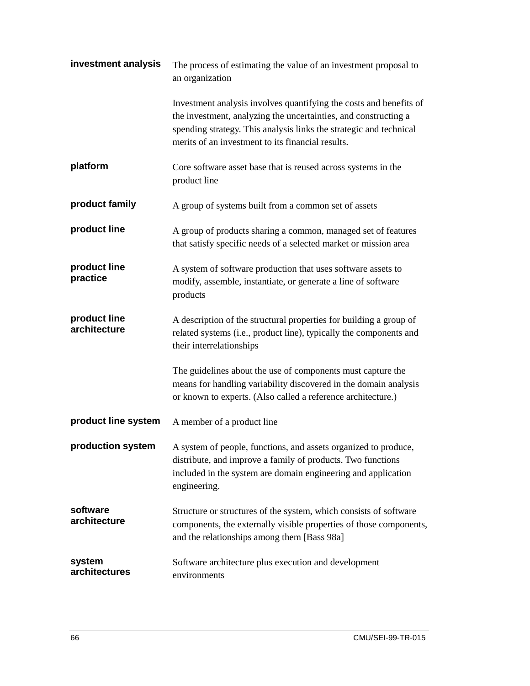| investment analysis                                                                             | The process of estimating the value of an investment proposal to<br>an organization                                                                                                                                                                              |  |  |  |  |  |
|-------------------------------------------------------------------------------------------------|------------------------------------------------------------------------------------------------------------------------------------------------------------------------------------------------------------------------------------------------------------------|--|--|--|--|--|
|                                                                                                 | Investment analysis involves quantifying the costs and benefits of<br>the investment, analyzing the uncertainties, and constructing a<br>spending strategy. This analysis links the strategic and technical<br>merits of an investment to its financial results. |  |  |  |  |  |
| platform                                                                                        | Core software asset base that is reused across systems in the<br>product line                                                                                                                                                                                    |  |  |  |  |  |
| product family                                                                                  | A group of systems built from a common set of assets                                                                                                                                                                                                             |  |  |  |  |  |
| product line                                                                                    | A group of products sharing a common, managed set of features<br>that satisfy specific needs of a selected market or mission area                                                                                                                                |  |  |  |  |  |
| product line<br>practice                                                                        | A system of software production that uses software assets to<br>modify, assemble, instantiate, or generate a line of software<br>products                                                                                                                        |  |  |  |  |  |
| product line<br>architecture                                                                    | A description of the structural properties for building a group of<br>related systems (i.e., product line), typically the components and<br>their interrelationships                                                                                             |  |  |  |  |  |
|                                                                                                 | The guidelines about the use of components must capture the<br>means for handling variability discovered in the domain analysis<br>or known to experts. (Also called a reference architecture.)                                                                  |  |  |  |  |  |
| product line system                                                                             | A member of a product line                                                                                                                                                                                                                                       |  |  |  |  |  |
| production system                                                                               | A system of people, functions, and assets organized to produce,<br>distribute, and improve a family of products. Two functions<br>included in the system are domain engineering and application<br>engineering.                                                  |  |  |  |  |  |
| software<br>architecture                                                                        | Structure or structures of the system, which consists of software<br>components, the externally visible properties of those components,<br>and the relationships among them [Bass 98a]                                                                           |  |  |  |  |  |
| system<br>Software architecture plus execution and development<br>architectures<br>environments |                                                                                                                                                                                                                                                                  |  |  |  |  |  |